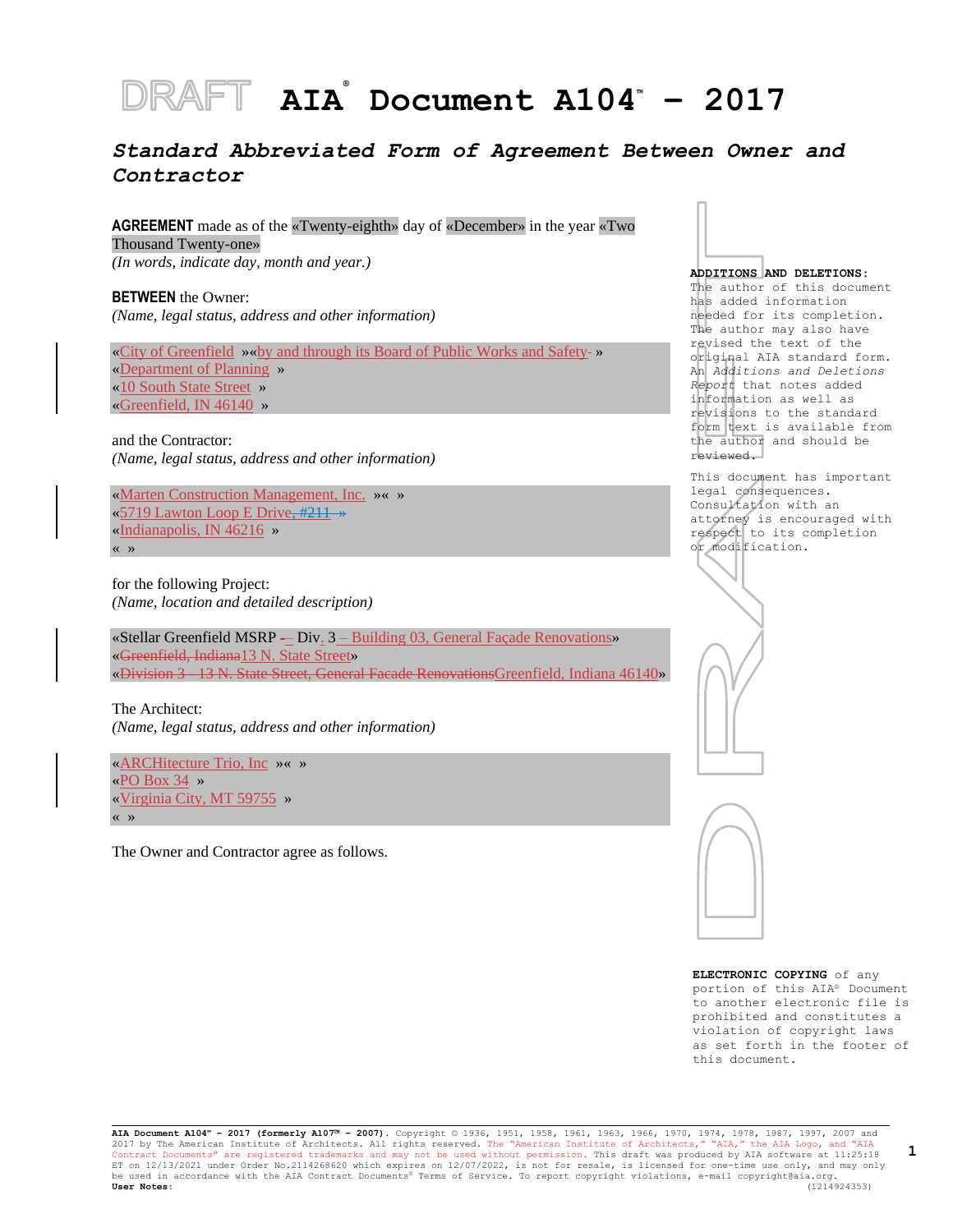# **AIA ® Document A104™ – 2017**

# *Standard Abbreviated Form of Agreement Between Owner and Contractor*

**AGREEMENT** made as of the «Twenty-eighth» day of «December» in the year «Two Thousand Twenty-one»

*(In words, indicate day, month and year.)*

**BETWEEN** the Owner: *(Name, legal status, address and other information)*

«City of Greenfield »«by and through its Board of Public Works and Safety-» «Department of Planning » «10 South State Street » «Greenfield, IN 46140 »

and the Contractor: *(Name, legal status, address and other information)*

«Marten Construction Management, Inc. »« » «5719 Lawton Loop E Drive, #211 » «Indianapolis, IN 46216 » « »

for the following Project: *(Name, location and detailed description)*

«Stellar Greenfield MSRP - Div. 3 - Building 03, General Façade Renovations» «Greenfield, Indiana13 N. State Street» «Division 3 - 13 N. State Street, General Facade RenovationsGreenfield, Indiana 46140»

The Architect: *(Name, legal status, address and other information)*

«ARCHitecture Trio, Inc »« » «PO Box 34 » «Virginia City, MT 59755 » « »

The Owner and Contractor agree as follows.

#### **ADDITIONS AND DELETIONS:**

The author of this document has added information needed for its completion. The author may also have revised the text of the original AIA standard form. An *Additions and Deletions Report* that notes added information as well as revisions to the standard form text is available from the author and should be reviewed.

This document has important legal consequences. Consultation with an attorney is encouraged with respect to its completion or modification.





**ELECTRONIC COPYING** of any portion of this AIA® Document to another electronic file is prohibited and constitutes a violation of copyright laws as set forth in the footer of this document.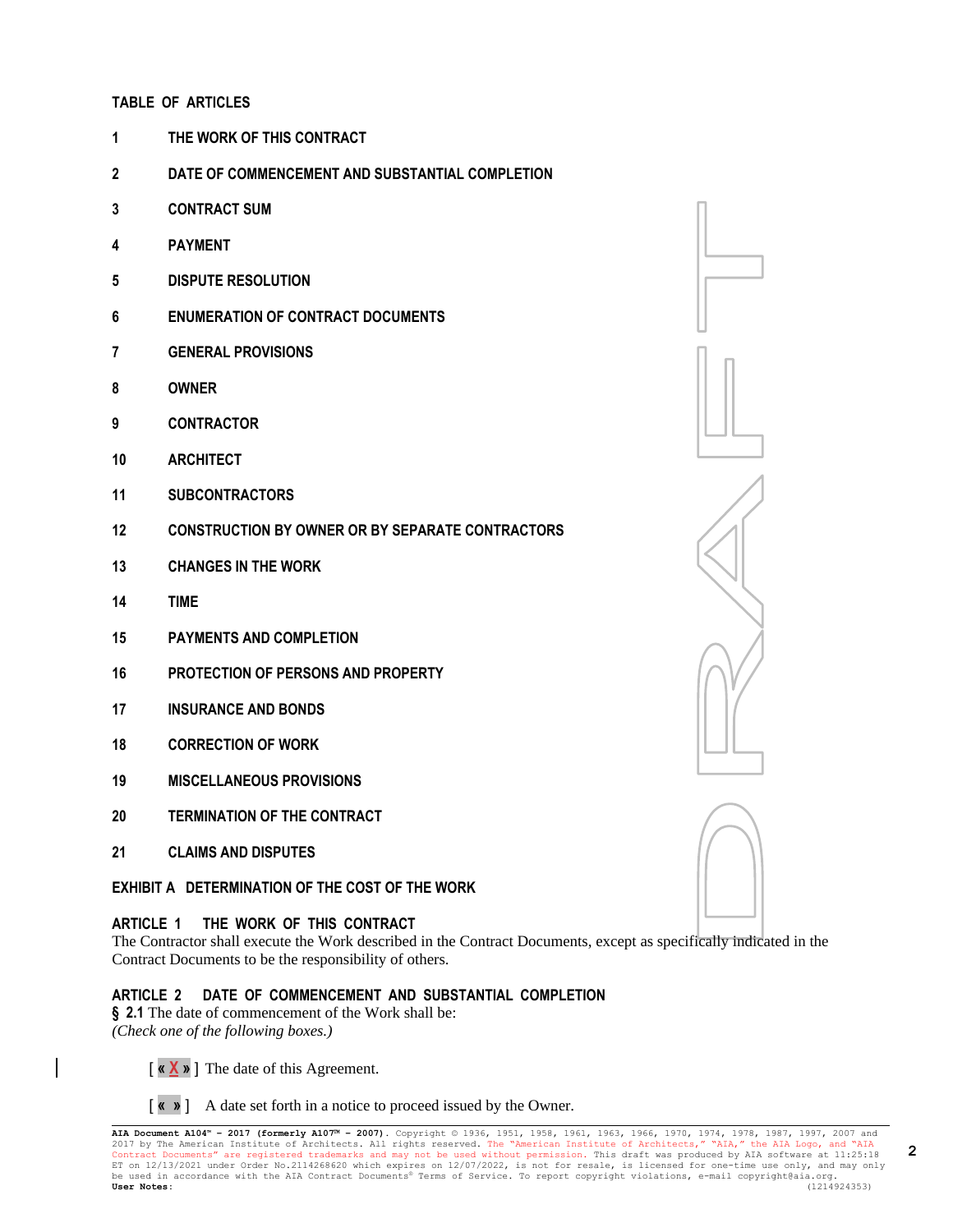## **TABLE OF ARTICLES**

- **THE WORK OF THIS CONTRACT**
- **DATE OF COMMENCEMENT AND SUBSTANTIAL COMPLETION**
- **CONTRACT SUM**
- **PAYMENT**
- **DISPUTE RESOLUTION**
- **ENUMERATION OF CONTRACT DOCUMENTS**
- **GENERAL PROVISIONS**
- **OWNER**
- **CONTRACTOR**
- **ARCHITECT**
- **SUBCONTRACTORS**
- **CONSTRUCTION BY OWNER OR BY SEPARATE CONTRACTORS**
- **CHANGES IN THE WORK**
- **TIME**
- **PAYMENTS AND COMPLETION**
- **PROTECTION OF PERSONS AND PROPERTY**
- **INSURANCE AND BONDS**
- **CORRECTION OF WORK**
- **MISCELLANEOUS PROVISIONS**
- **TERMINATION OF THE CONTRACT**
- **CLAIMS AND DISPUTES**

# **EXHIBIT A DETERMINATION OF THE COST OF THE WORK**

# **ARTICLE 1 THE WORK OF THIS CONTRACT**

The Contractor shall execute the Work described in the Contract Documents, except as specifically indicated in the Contract Documents to be the responsibility of others.

# **ARTICLE 2 DATE OF COMMENCEMENT AND SUBSTANTIAL COMPLETION**

**§ 2.1** The date of commencement of the Work shall be: *(Check one of the following boxes.)*



[ **« »** ] A date set forth in a notice to proceed issued by the Owner.



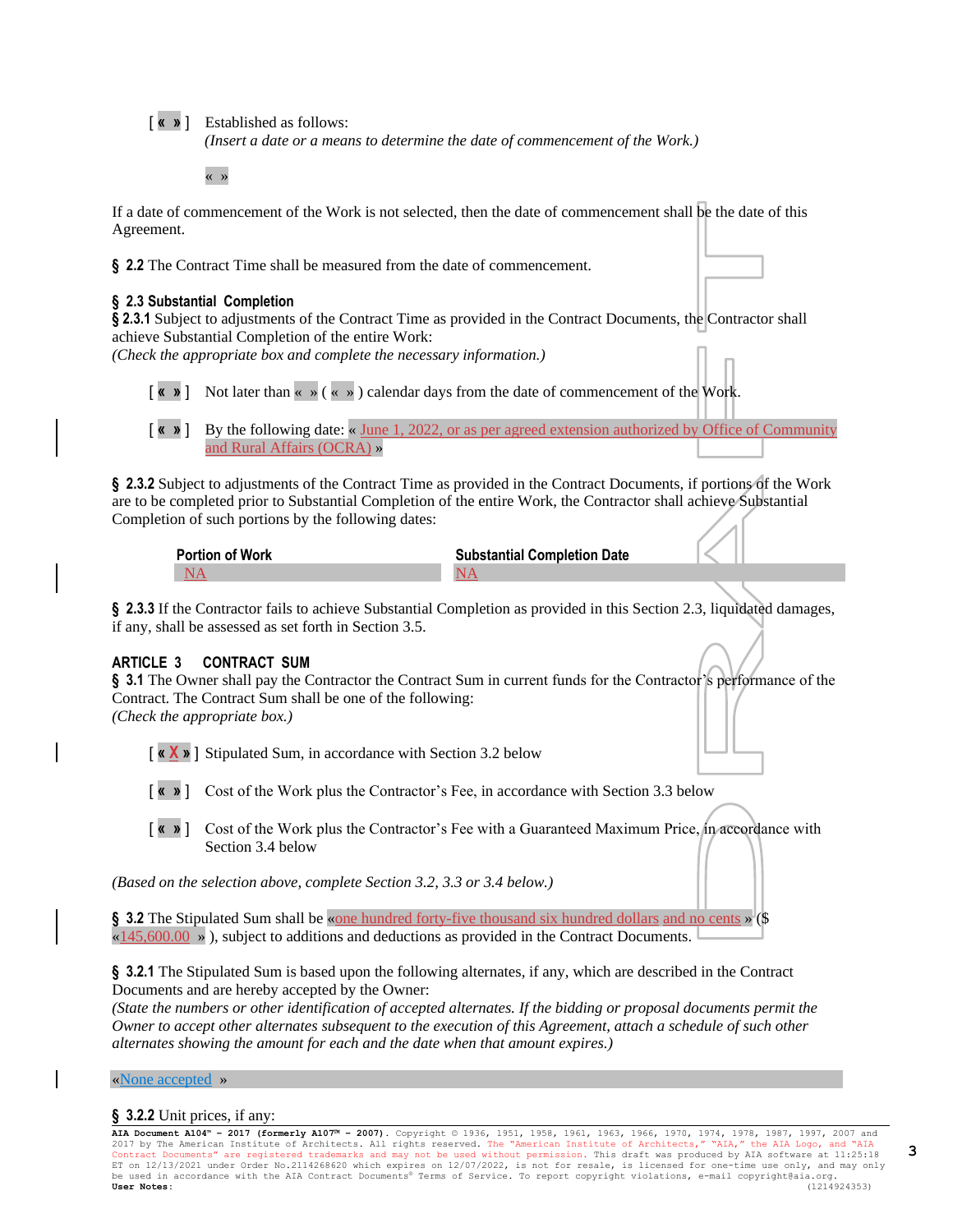[ **« »** ] Established as follows:

*(Insert a date or a means to determine the date of commencement of the Work.)*

« »

If a date of commencement of the Work is not selected, then the date of commencement shall be the date of this Agreement.

**§ 2.2** The Contract Time shall be measured from the date of commencement.

## **§ 2.3 Substantial Completion**

**§ 2.3.1** Subject to adjustments of the Contract Time as provided in the Contract Documents, the Contractor shall achieve Substantial Completion of the entire Work:

*(Check the appropriate box and complete the necessary information.)*

[ **« »** ] Not later than « » ( « » ) calendar days from the date of commencement of the Work.

[ **« »** ] By the following date: « June 1, 2022, or as per agreed extension authorized by Office of Community and Rural Affairs (OCRA) »

**§ 2.3.2** Subject to adjustments of the Contract Time as provided in the Contract Documents, if portions of the Work are to be completed prior to Substantial Completion of the entire Work, the Contractor shall achieve Substantial Completion of such portions by the following dates:

| <b>Portion of Work</b> | <b>Substantial Completion Date</b> |  |
|------------------------|------------------------------------|--|
|                        |                                    |  |

**§ 2.3.3** If the Contractor fails to achieve Substantial Completion as provided in this Section 2.3, liquidated damages, if any, shall be assessed as set forth in Section 3.5.

## **ARTICLE 3 CONTRACT SUM**

**§ 3.1** The Owner shall pay the Contractor the Contract Sum in current funds for the Contractor's performance of the Contract. The Contract Sum shall be one of the following: *(Check the appropriate box.)*

[ **« X »** ] Stipulated Sum, in accordance with Section 3.2 below

[ **« »** ] Cost of the Work plus the Contractor's Fee, in accordance with Section 3.3 below

[ **« »** ] Cost of the Work plus the Contractor's Fee with a Guaranteed Maximum Price, in accordance with Section 3.4 below

*(Based on the selection above, complete Section 3.2, 3.3 or 3.4 below.)*

**§ 3.2** The Stipulated Sum shall be «one hundred forty-five thousand six hundred dollars and no cents » (\$  $\approx$  145,600.00  $\rightarrow$ ), subject to additions and deductions as provided in the Contract Documents.

**§ 3.2.1** The Stipulated Sum is based upon the following alternates, if any, which are described in the Contract Documents and are hereby accepted by the Owner:

*(State the numbers or other identification of accepted alternates. If the bidding or proposal documents permit the Owner to accept other alternates subsequent to the execution of this Agreement, attach a schedule of such other alternates showing the amount for each and the date when that amount expires.)*

«None accepted »

#### **§ 3.2.2** Unit prices, if any: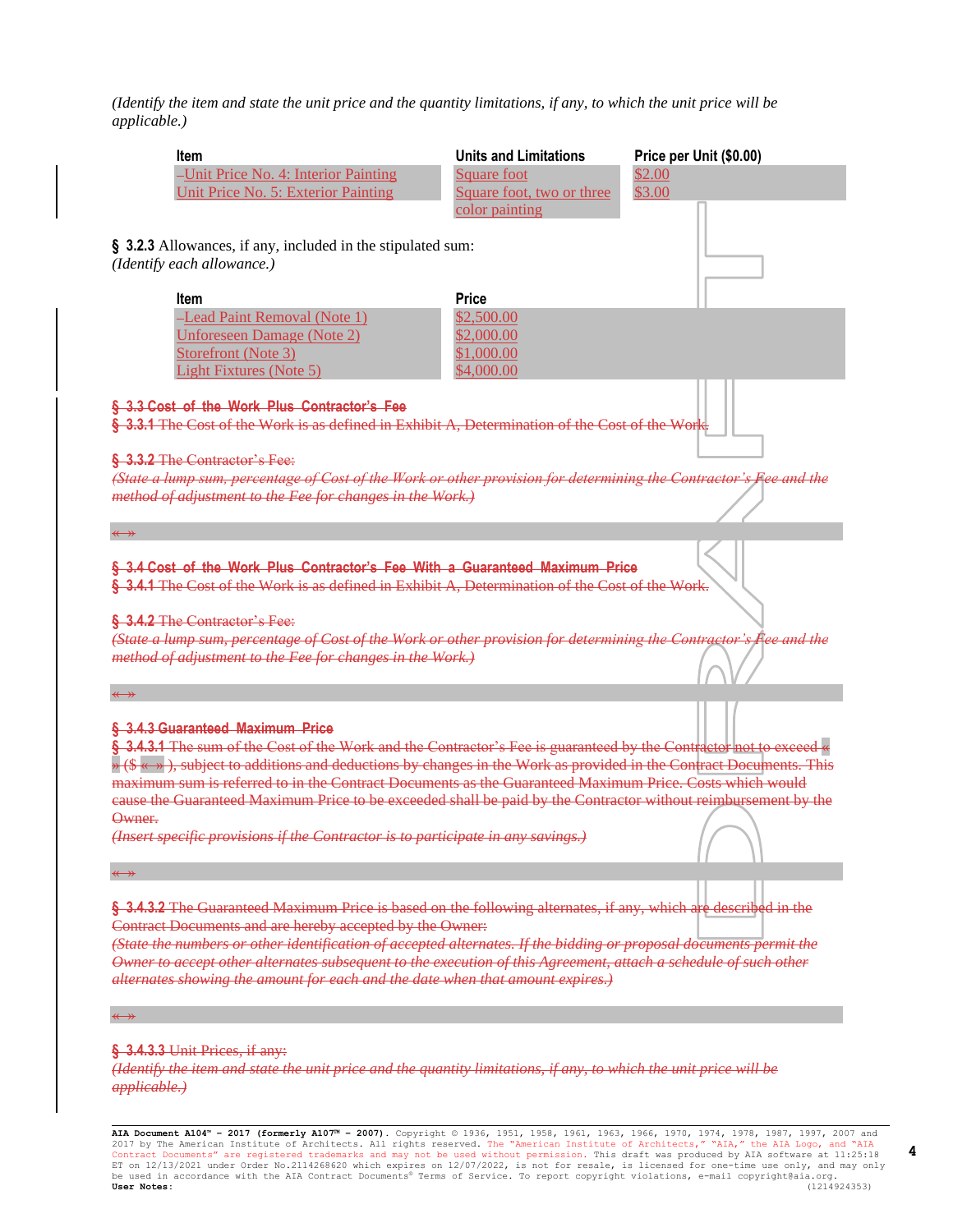*(Identify the item and state the unit price and the quantity limitations, if any, to which the unit price will be applicable.)*

| <b>Item</b>                                                                                                                                                                                                                                                                                                                                                                                                                                                                                                                                                                                                      | <b>Units and Limitations</b>                               | Price per Unit (\$0.00) |  |
|------------------------------------------------------------------------------------------------------------------------------------------------------------------------------------------------------------------------------------------------------------------------------------------------------------------------------------------------------------------------------------------------------------------------------------------------------------------------------------------------------------------------------------------------------------------------------------------------------------------|------------------------------------------------------------|-------------------------|--|
| -Unit Price No. 4: Interior Painting<br>Unit Price No. 5: Exterior Painting                                                                                                                                                                                                                                                                                                                                                                                                                                                                                                                                      | Square foot<br>Square foot, two or three<br>color painting | \$2.00<br>\$3.00        |  |
| § 3.2.3 Allowances, if any, included in the stipulated sum:<br>(Identify each allowance.)                                                                                                                                                                                                                                                                                                                                                                                                                                                                                                                        |                                                            |                         |  |
| <b>Item</b>                                                                                                                                                                                                                                                                                                                                                                                                                                                                                                                                                                                                      | <b>Price</b>                                               |                         |  |
| -Lead Paint Removal (Note 1)<br><b>Unforeseen Damage (Note 2)</b><br>Storefront (Note 3)<br><b>Light Fixtures (Note 5)</b>                                                                                                                                                                                                                                                                                                                                                                                                                                                                                       | \$2,500.00<br>\$2,000.00<br>\$1,000.00<br>\$4,000.00       |                         |  |
| § 3.3 Cost of the Work Plus Contractor's Fee<br>§ 3.3.1 The Cost of the Work is as defined in Exhibit A, Determination of the Cost of the Work-                                                                                                                                                                                                                                                                                                                                                                                                                                                                  |                                                            |                         |  |
| § 3.3.2 The Contractor's Fee:<br>(State a lump sum, percentage of Cost of the Work or other provision for determining the Contractor's Flee and the                                                                                                                                                                                                                                                                                                                                                                                                                                                              |                                                            |                         |  |
| method of adjustment to the Fee for changes in the Work.)                                                                                                                                                                                                                                                                                                                                                                                                                                                                                                                                                        |                                                            |                         |  |
| $\rightarrow$                                                                                                                                                                                                                                                                                                                                                                                                                                                                                                                                                                                                    |                                                            |                         |  |
| § 3.4 Cost of the Work Plus Contractor's Fee With a Guaranteed Maximum Price<br>§ 3.4.1 The Cost of the Work is as defined in Exhibit A, Determination of the Cost of the Work.                                                                                                                                                                                                                                                                                                                                                                                                                                  |                                                            |                         |  |
| § 3.4.2 The Contractor's Fee:                                                                                                                                                                                                                                                                                                                                                                                                                                                                                                                                                                                    |                                                            |                         |  |
| (State a lump sum, percentage of Cost of the Work or other provision for determining the Contractor's fiee and the<br>method of adjustment to the Fee for changes in the Work.)                                                                                                                                                                                                                                                                                                                                                                                                                                  |                                                            |                         |  |
| $\longleftrightarrow$                                                                                                                                                                                                                                                                                                                                                                                                                                                                                                                                                                                            |                                                            |                         |  |
| § 3.4.3 Guaranteed Maximum Price<br>§ 3.4.3.1 The sum of the Cost of the Work and the Contractor's Fee is guaranteed by the Contractor not to exceed «<br>$\sqrt{8}$ (\$ « »), subject to additions and deductions by changes in the Work as provided in the Contract Documents. This<br>maximum sum is referred to in the Contract Documents as the Guaranteed Maximum Price. Costs which would<br>cause the Guaranteed Maximum Price to be exceeded shall be paid by the Contractor without reimbursement by the<br>Owner.<br>(Insert specific provisions if the Contractor is to participate in any savings.) |                                                            |                         |  |
|                                                                                                                                                                                                                                                                                                                                                                                                                                                                                                                                                                                                                  |                                                            |                         |  |
| § 3.4.3.2 The Guaranteed Maximum Price is based on the following alternates, if any, which are described in the<br>Contract Documents and are hereby accepted by the Owner:<br>(State the numbers or other identification of accepted alternates. If the bidding or proposal documents permit the<br>Owner to accept other alternates subsequent to the execution of this Agreement, attach a schedule of such other<br>alternates showing the amount for each and the date when that amount expires.)                                                                                                           |                                                            |                         |  |
|                                                                                                                                                                                                                                                                                                                                                                                                                                                                                                                                                                                                                  |                                                            |                         |  |
| § 3.4.3.3 Unit Prices, if any:<br>(Identify the item and state the unit price and the quantity limitations, if any, to which the unit price will be<br>applicable.)                                                                                                                                                                                                                                                                                                                                                                                                                                              |                                                            |                         |  |

AIA Document A104" - 2017 (formerly A107" - 2007). Copyright © 1936, 1951, 1958, 1961, 1963, 1966, 1970, 1974, 1978, 1987, 1997, 2007 and<br>2017 by The American Institute of Architects. All rights reserved. The "American Ins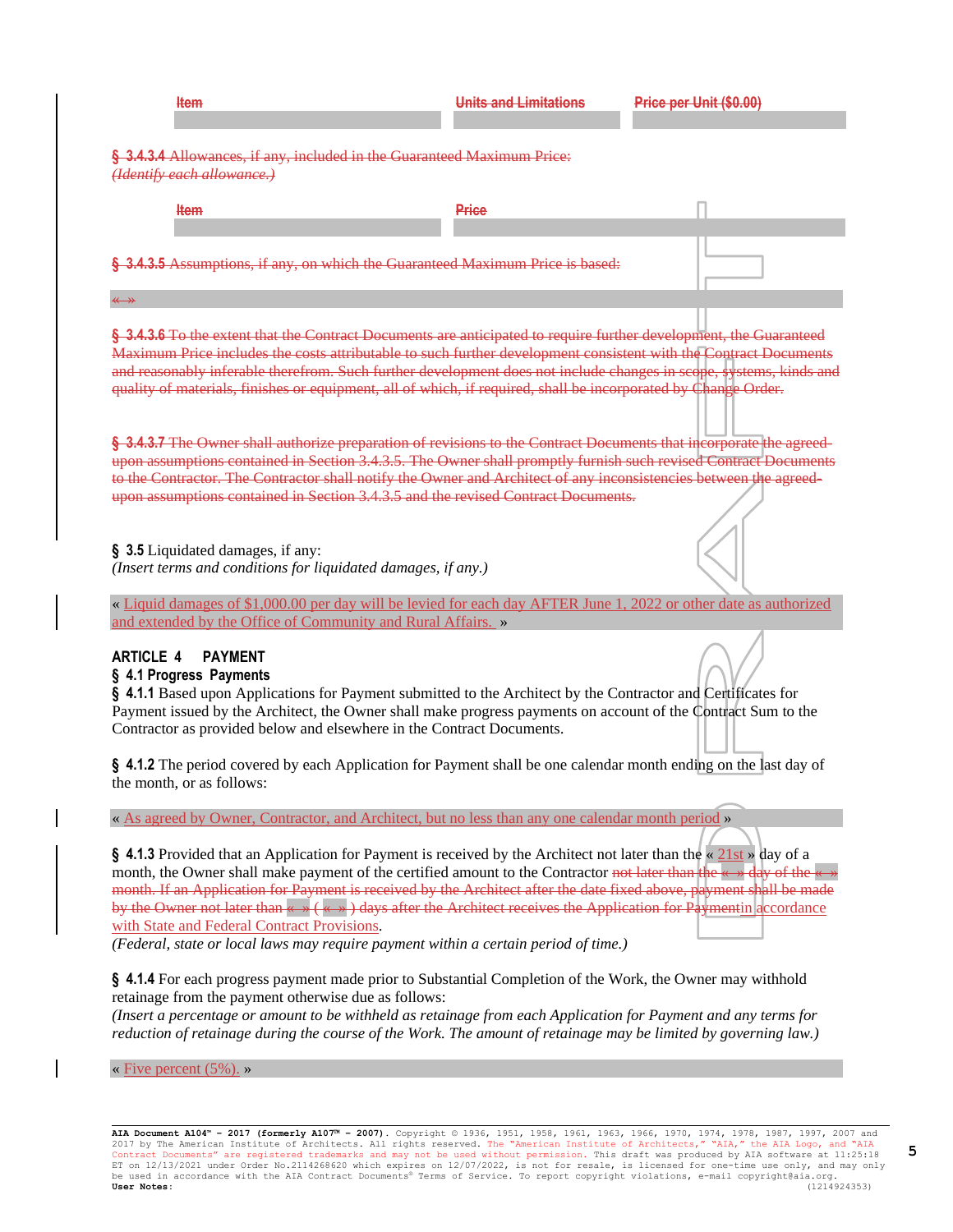| <u>Item</u>                                                                                                                            | <b>Units and Limitations</b><br>Price per Unit (\$0.00)                                                                                                                                                                                                                                                                                                                                                                                                                                                                                       |  |  |  |
|----------------------------------------------------------------------------------------------------------------------------------------|-----------------------------------------------------------------------------------------------------------------------------------------------------------------------------------------------------------------------------------------------------------------------------------------------------------------------------------------------------------------------------------------------------------------------------------------------------------------------------------------------------------------------------------------------|--|--|--|
| § 3.4.3.4 Allowances, if any, included in the Guaranteed Maximum Price:<br>(Identify each allowance.)                                  |                                                                                                                                                                                                                                                                                                                                                                                                                                                                                                                                               |  |  |  |
| <b>Item</b>                                                                                                                            | Price                                                                                                                                                                                                                                                                                                                                                                                                                                                                                                                                         |  |  |  |
| <b>3.4.3.5</b> Assumptions, if any, on which the Guaranteed Maximum Price is based:                                                    |                                                                                                                                                                                                                                                                                                                                                                                                                                                                                                                                               |  |  |  |
|                                                                                                                                        |                                                                                                                                                                                                                                                                                                                                                                                                                                                                                                                                               |  |  |  |
|                                                                                                                                        | § 3.4.3.6 To the extent that the Contract Documents are anticipated to require further development, the Guaranteed<br>Maximum Price includes the costs attributable to such further development consistent with the Contract Documents                                                                                                                                                                                                                                                                                                        |  |  |  |
|                                                                                                                                        | and reasonably inferable therefrom. Such further development does not include changes in scope, systems, kinds and<br>quality of materials, finishes or equipment, all of which, if required, shall be incorporated by Change Order.                                                                                                                                                                                                                                                                                                          |  |  |  |
| upon assumptions contained in Section 3.4.3.5 and the revised Contract Documents.                                                      | § 3.4.3.7 The Owner shall authorize preparation of revisions to the Contract Documents that incorporate the agreed-<br>upon assumptions contained in Section 3.4.3.5. The Owner shall promptly furnish such revised Contract Documents<br>to the Contractor. The Contractor shall notify the Owner and Architect of any inconsistencies between the agreed-                                                                                                                                                                                   |  |  |  |
| § 3.5 Liquidated damages, if any:<br>(Insert terms and conditions for liquidated damages, if any.)                                     |                                                                                                                                                                                                                                                                                                                                                                                                                                                                                                                                               |  |  |  |
| and extended by the Office of Community and Rural Affairs. »                                                                           | « Liquid damages of \$1,000.00 per day will be levied for each day AFTER June 1, 2022 or other date as authorized                                                                                                                                                                                                                                                                                                                                                                                                                             |  |  |  |
| <b>ARTICLE 4</b><br><b>PAYMENT</b><br>§ 4.1 Progress Payments<br>Contractor as provided below and elsewhere in the Contract Documents. | § 4.1.1 Based upon Applications for Payment submitted to the Architect by the Contractor and Certificates for<br>Payment issued by the Architect, the Owner shall make progress payments on account of the Contract Sum to the                                                                                                                                                                                                                                                                                                                |  |  |  |
| the month, or as follows:                                                                                                              | § 4.1.2 The period covered by each Application for Payment shall be one calendar month ending on the last day of                                                                                                                                                                                                                                                                                                                                                                                                                              |  |  |  |
|                                                                                                                                        | « As agreed by Owner, Contractor, and Architect, but no less than any one calendar month period »                                                                                                                                                                                                                                                                                                                                                                                                                                             |  |  |  |
| with State and Federal Contract Provisions.                                                                                            | § 4.1.3 Provided that an Application for Payment is received by the Architect not later than the « $21st$ » day of a<br>month, the Owner shall make payment of the certified amount to the Contractor not later than the $\leftarrow$ day of the<br>month. If an Application for Payment is received by the Architect after the date fixed above, payment shall be made<br>by the Owner not later than $\leftarrow \rightarrow \leftarrow \rightarrow \rightarrow$ days after the Architect receives the Application for Paymentin accordance |  |  |  |
| (Federal, state or local laws may require payment within a certain period of time.)                                                    |                                                                                                                                                                                                                                                                                                                                                                                                                                                                                                                                               |  |  |  |
| retainage from the payment otherwise due as follows:                                                                                   | § 4.1.4 For each progress payment made prior to Substantial Completion of the Work, the Owner may withhold<br>(Insert a percentage or amount to be withheld as retainage from each Application for Payment and any terms for<br>reduction of retainage during the course of the Work. The amount of retainage may be limited by governing law.)                                                                                                                                                                                               |  |  |  |
| « Five percent $(5\%)$ . »                                                                                                             |                                                                                                                                                                                                                                                                                                                                                                                                                                                                                                                                               |  |  |  |
|                                                                                                                                        |                                                                                                                                                                                                                                                                                                                                                                                                                                                                                                                                               |  |  |  |

AIA Document A104" - 2017 (formerly A107" - 2007). Copyright © 1936, 1951, 1958, 1961, 1963, 1966, 1970, 1974, 1978, 1987, 1997, 2007 and<br>2017 by The American Institute of Architects. All rights reserved. The "American Ins

**5**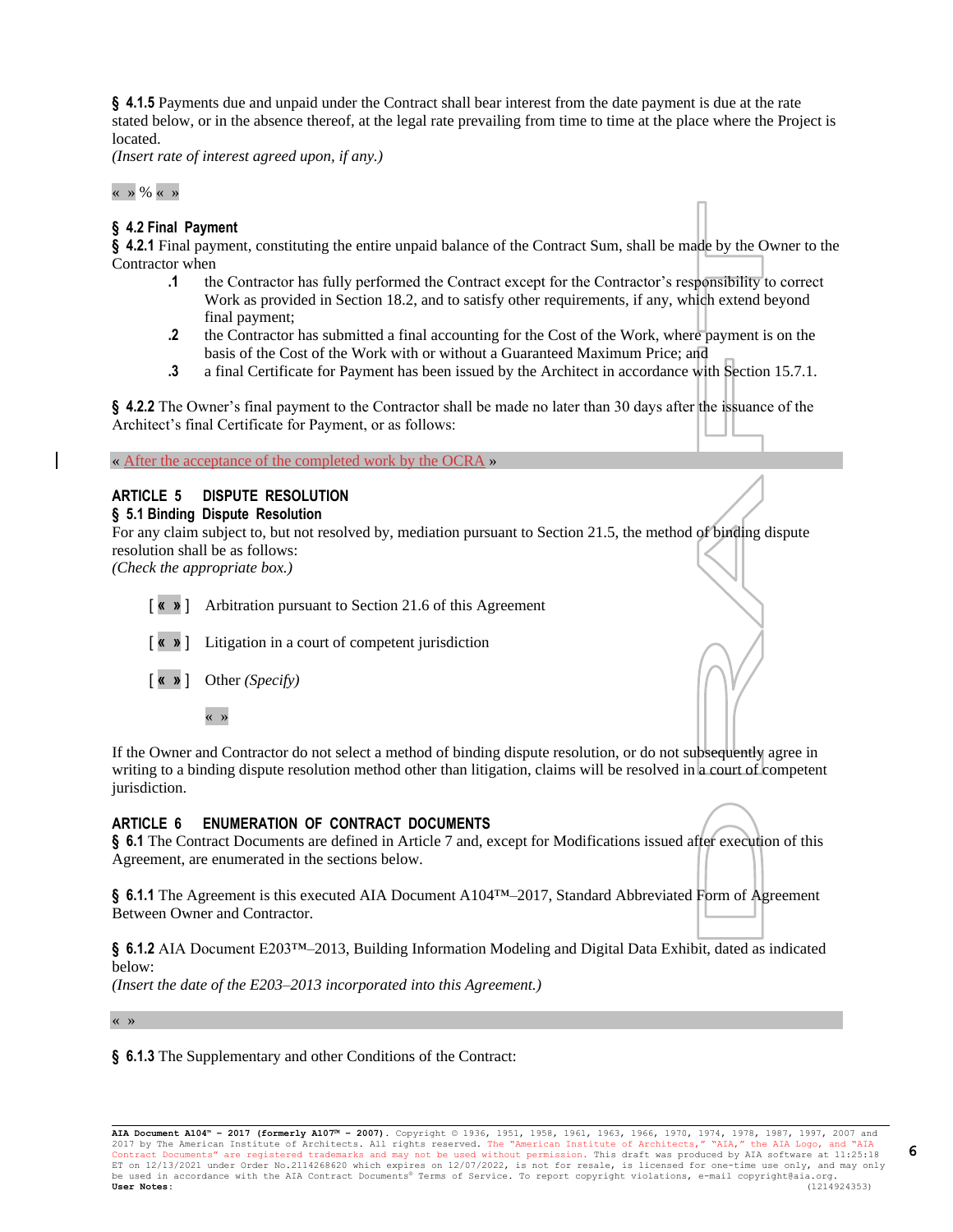**§ 4.1.5** Payments due and unpaid under the Contract shall bear interest from the date payment is due at the rate stated below, or in the absence thereof, at the legal rate prevailing from time to time at the place where the Project is located.

*(Insert rate of interest agreed upon, if any.)*

 $\langle \cdot \rangle$   $\rightarrow$  %  $\langle \cdot \rangle$ 

#### **§ 4.2 Final Payment**

**§ 4.2.1** Final payment, constituting the entire unpaid balance of the Contract Sum, shall be made by the Owner to the Contractor when

- **.1** the Contractor has fully performed the Contract except for the Contractor's responsibility to correct Work as provided in Section 18.2, and to satisfy other requirements, if any, which extend beyond final payment;
- **.2** the Contractor has submitted a final accounting for the Cost of the Work, where payment is on the basis of the Cost of the Work with or without a Guaranteed Maximum Price; and
- **.3** a final Certificate for Payment has been issued by the Architect in accordance with Section 15.7.1.

**§ 4.2.2** The Owner's final payment to the Contractor shall be made no later than 30 days after the issuance of the Architect's final Certificate for Payment, or as follows:

« After the acceptance of the completed work by the OCRA »

# **ARTICLE 5 DISPUTE RESOLUTION**

#### **§ 5.1 Binding Dispute Resolution**

For any claim subject to, but not resolved by, mediation pursuant to Section 21.5, the method of binding dispute resolution shall be as follows:

*(Check the appropriate box.)*

[ **« »** ] Arbitration pursuant to Section 21.6 of this Agreement

- [ **« »** ] Litigation in a court of competent jurisdiction
- [ **« »** ] Other *(Specify)*

« »

If the Owner and Contractor do not select a method of binding dispute resolution, or do not subsequently agree in writing to a binding dispute resolution method other than litigation, claims will be resolved in a court of competent jurisdiction.

## **ARTICLE 6 ENUMERATION OF CONTRACT DOCUMENTS**

**§ 6.1** The Contract Documents are defined in Article 7 and, except for Modifications issued after execution of this Agreement, are enumerated in the sections below.

§ **6.1.1** The Agreement is this executed AIA Document A104<sup>™</sup>–2017, Standard Abbreviated Form of Agreement Between Owner and Contractor.

**§ 6.1.2** AIA Document E203™–2013, Building Information Modeling and Digital Data Exhibit, dated as indicated below:

*(Insert the date of the E203–2013 incorporated into this Agreement.)*

« »

**§ 6.1.3** The Supplementary and other Conditions of the Contract: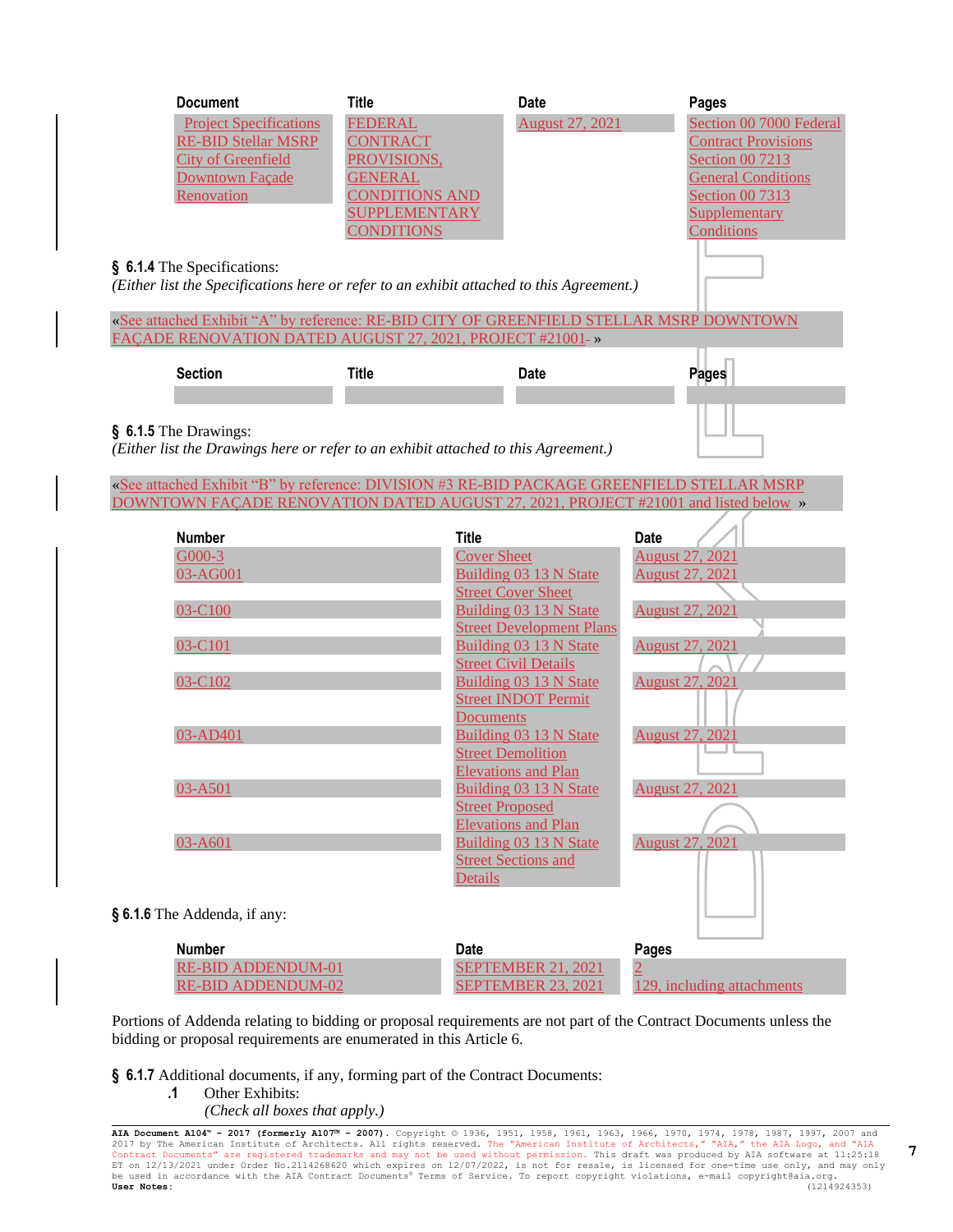| <b>Document</b><br><b>Project Specifications</b><br><b>RE-BID Stellar MSRP</b><br><b>City of Greenfield</b><br><b>Downtown Façade</b><br>Renovation                                                                                                                                                                                               | <b>Title</b><br><b>FEDERAL</b><br><b>CONTRACT</b><br>PROVISIONS,<br><b>GENERAL</b><br><b>CONDITIONS AND</b><br><b>SUPPLEMENTARY</b><br><b>CONDITIONS</b> | <b>Date</b><br><b>August 27, 2021</b>                                                                                                                                                                                                                                                                                                                                                                                                                                                 | Pages<br>Section 00 7000 Federal<br><b>Contract Provisions</b><br>Section 00 7213<br><b>General Conditions</b><br>Section 00 7313<br>Supplementary<br>Conditions                               |  |  |
|---------------------------------------------------------------------------------------------------------------------------------------------------------------------------------------------------------------------------------------------------------------------------------------------------------------------------------------------------|----------------------------------------------------------------------------------------------------------------------------------------------------------|---------------------------------------------------------------------------------------------------------------------------------------------------------------------------------------------------------------------------------------------------------------------------------------------------------------------------------------------------------------------------------------------------------------------------------------------------------------------------------------|------------------------------------------------------------------------------------------------------------------------------------------------------------------------------------------------|--|--|
| § 6.1.4 The Specifications:<br>(Either list the Specifications here or refer to an exhibit attached to this Agreement.)<br>«See attached Exhibit "A" by reference: RE-BID CITY OF GREENFIELD STELLAR MSRP DOWNTOWN<br>FAÇADE RENOVATION DATED AUGUST 27, 2021, PROJECT #21001- »<br><b>Section</b><br><b>Title</b><br><b>Date</b><br><b>Pages</b> |                                                                                                                                                          |                                                                                                                                                                                                                                                                                                                                                                                                                                                                                       |                                                                                                                                                                                                |  |  |
| $§$ 6.1.5 The Drawings:<br>(Either list the Drawings here or refer to an exhibit attached to this Agreement.)<br>«See attached Exhibit "B" by reference: DIVISION #3 RE-BID PACKAGE GREENFIELD STELLAR MSRP<br>DOWNTOWN FACADE RENOVATION DATED AUGUST 27, 2021, PROJECT #21001 and listed below »                                                |                                                                                                                                                          |                                                                                                                                                                                                                                                                                                                                                                                                                                                                                       |                                                                                                                                                                                                |  |  |
| <b>Number</b><br>G000-3<br>03-AG001<br>03-C100<br>03-C101<br>03-C102<br>03-AD401<br>03-A501<br>03-A601                                                                                                                                                                                                                                            | <b>Title</b><br><b>Cover Sheet</b><br><b>Documents</b><br>Details                                                                                        | <b>Date</b><br>Building 03 13 N State<br><b>Street Cover Sheet</b><br>Building 03 13 N State<br><b>Street Development Plans</b><br>Building 03 13 N State<br><b>Street Civil Details</b><br><b>Building 03 13 N State</b><br><b>Street INDOT Permit</b><br>Building 03 13 N State<br><b>Street Demolition</b><br><b>Elevations and Plan</b><br>Building 03 13 N State<br><b>Street Proposed</b><br><b>Elevations and Plan</b><br>Building 03 13 N State<br><b>Street Sections and</b> | <b>August 27, 2021</b><br>August 27, 2021<br><b>August 27, 2021</b><br><b>August 27, 2021</b><br>August 27, 2021<br><b>August 27, 2021</b><br><b>August 27, 2021</b><br><b>August 27, 2021</b> |  |  |
| $§ 6.1.6$ The Addenda, if any:<br><b>Number</b><br><b>RE-BID ADDENDUM-01</b><br><b>RE-BID ADDENDUM-02</b>                                                                                                                                                                                                                                         | <b>Date</b>                                                                                                                                              | <b>SEPTEMBER 21, 2021</b><br><b>SEPTEMBER 23, 2021</b>                                                                                                                                                                                                                                                                                                                                                                                                                                | Pages<br>129, including attachments                                                                                                                                                            |  |  |

Portions of Addenda relating to bidding or proposal requirements are not part of the Contract Documents unless the bidding or proposal requirements are enumerated in this Article 6.

**§ 6.1.7** Additional documents, if any, forming part of the Contract Documents:

- **.1** Other Exhibits:
	- *(Check all boxes that apply.)*

**AIA Document A104™ – 2017 (formerly A107™ – 2007).** Copyright © 1936, 1951, 1958, 1961, 1963, 1966, 1970, 1974, 1978, 1987, 1997, 2007 and 2017 by The American Institute of Architects. All rights reserved. The "American Institute of Architects," "AIA," the AIA Logo, and "AIA<br>Contract Documents" are registered trademarks and may not be used without permission.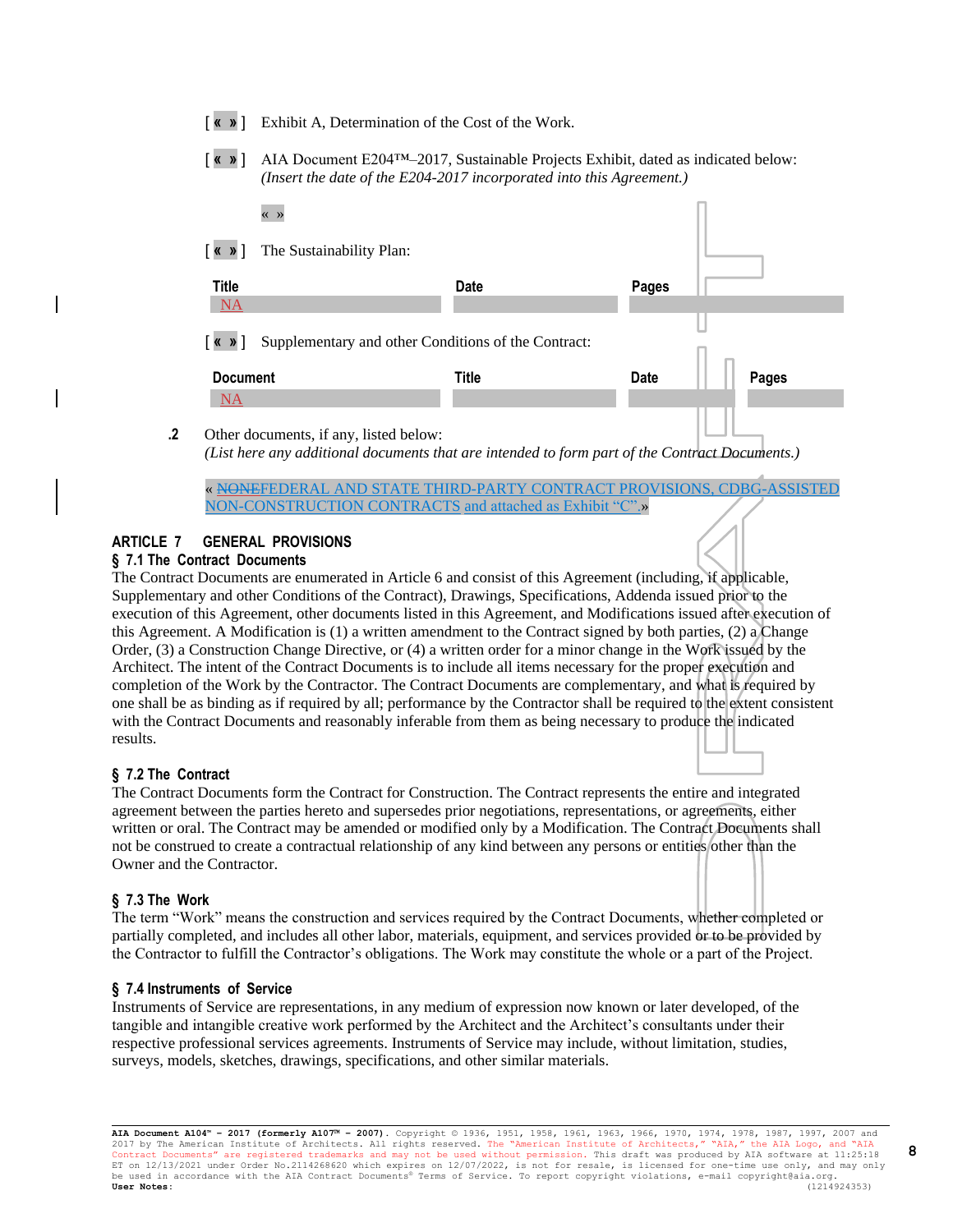- [ **« »** ] Exhibit A, Determination of the Cost of the Work.
- [ **« »** ] AIA Document E204™–2017, Sustainable Projects Exhibit, dated as indicated below: *(Insert the date of the E204-2017 incorporated into this Agreement.)*

|                                                              | $\left\langle \left\langle \right\rangle \right\rangle$ |             |             |       |
|--------------------------------------------------------------|---------------------------------------------------------|-------------|-------------|-------|
| $\left( \langle \rangle \rangle \right)$                     | The Sustainability Plan:                                |             |             |       |
| <b>Title</b>                                                 |                                                         | <b>Date</b> | Pages       |       |
| NA                                                           |                                                         |             |             |       |
| $\left[\begin{array}{cc} \kappa & \kappa \end{array}\right]$ | Supplementary and other Conditions of the Contract:     |             |             |       |
| <b>Document</b>                                              |                                                         | Title       | <b>Date</b> | Pages |
| <b>NA</b>                                                    |                                                         |             |             |       |
|                                                              |                                                         |             |             |       |

H **.2** Other documents, if any, listed below: *(List here any additional documents that are intended to form part of the Contract Documents.)*

« NONEFEDERAL AND STATE THIRD-PARTY CONTRACT PROVISIONS, CDBG-ASSISTED NON-CONSTRUCTION CONTRACTS and attached as Exhibit "C".»

## **ARTICLE 7 GENERAL PROVISIONS**

#### **§ 7.1 The Contract Documents**

The Contract Documents are enumerated in Article 6 and consist of this Agreement (including, if applicable, Supplementary and other Conditions of the Contract), Drawings, Specifications, Addenda issued prior to the execution of this Agreement, other documents listed in this Agreement, and Modifications issued after execution of this Agreement. A Modification is (1) a written amendment to the Contract signed by both parties, (2) a Change Order, (3) a Construction Change Directive, or (4) a written order for a minor change in the Work issued by the Architect. The intent of the Contract Documents is to include all items necessary for the proper execution and completion of the Work by the Contractor. The Contract Documents are complementary, and what is required by one shall be as binding as if required by all; performance by the Contractor shall be required to the extent consistent with the Contract Documents and reasonably inferable from them as being necessary to produce the indicated results.

## **§ 7.2 The Contract**

The Contract Documents form the Contract for Construction. The Contract represents the entire and integrated agreement between the parties hereto and supersedes prior negotiations, representations, or agreements, either written or oral. The Contract may be amended or modified only by a Modification. The Contract Documents shall not be construed to create a contractual relationship of any kind between any persons or entities other than the Owner and the Contractor.

#### **§ 7.3 The Work**

The term "Work" means the construction and services required by the Contract Documents, whether completed or partially completed, and includes all other labor, materials, equipment, and services provided or to be provided by the Contractor to fulfill the Contractor's obligations. The Work may constitute the whole or a part of the Project.

#### **§ 7.4 Instruments of Service**

Instruments of Service are representations, in any medium of expression now known or later developed, of the tangible and intangible creative work performed by the Architect and the Architect's consultants under their respective professional services agreements. Instruments of Service may include, without limitation, studies, surveys, models, sketches, drawings, specifications, and other similar materials.

**AIA Document A104™ – 2017 (formerly A107™ – 2007).** Copyright © 1936, 1951, 1958, 1961, 1963, 1966, 1970, 1974, 1978, 1987, 1997, 2007 and 2017 by The American Institute of Architects. All rights reserved. The "American Institute of Architects," "AIA," the AIA Logo, and "AIA<br>Contract Documents" are registered trademarks and may not be used without permission. Contract Documents" are registered trademarks and may not be used without permission. This draft was produced by AIA software at 11:25:18<br>ET on 12/13/2021 under Order No.2114268620 which expires on 12/07/2022, is not for r be used in accordance with the AIA Contract Documents® Terms of Service. To report copyright violations, e-mail copyright@aia.org.<br> **User Notes:** (1214924353) **User Notes:** (1214924353)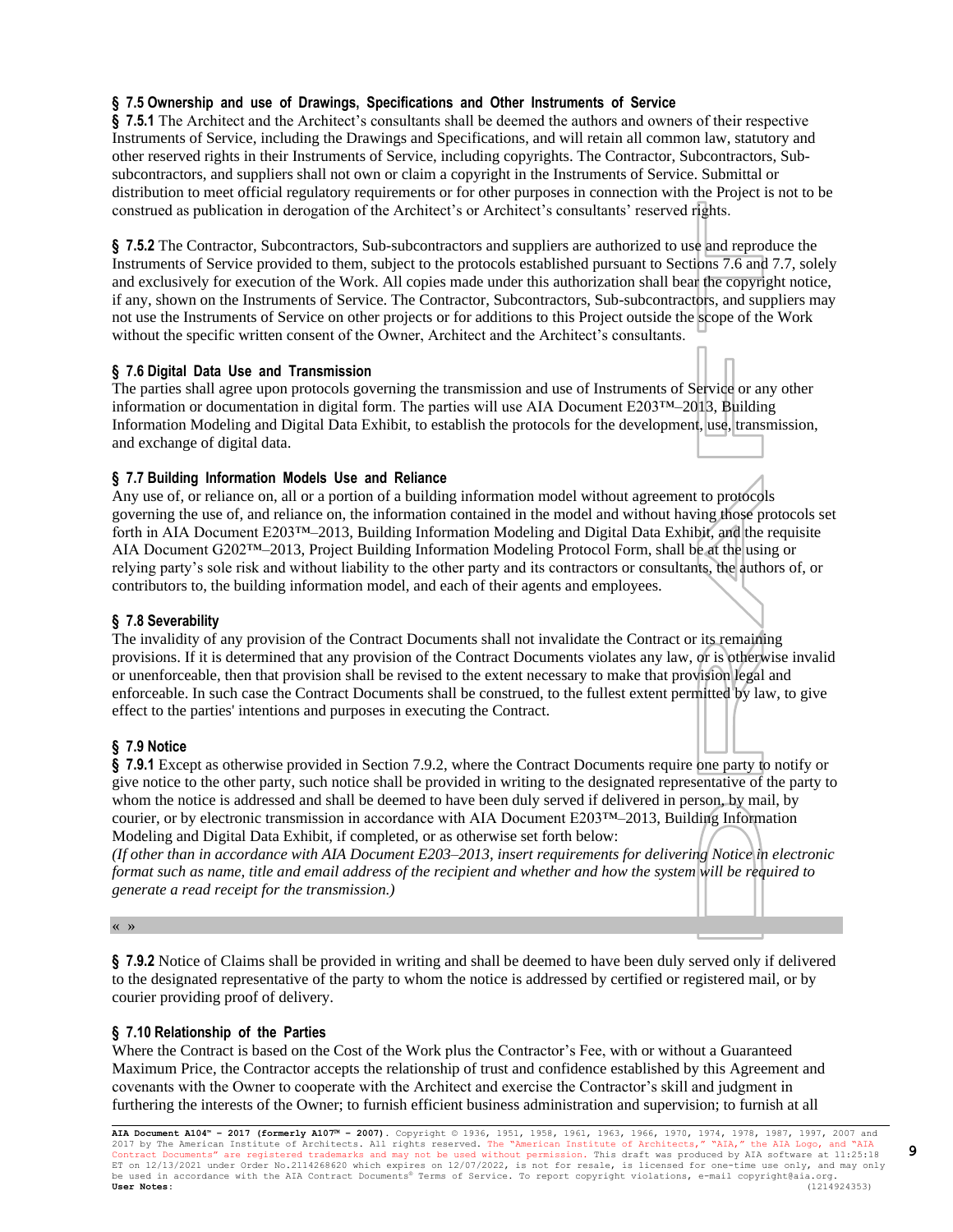## **§ 7.5 Ownership and use of Drawings, Specifications and Other Instruments of Service**

**§ 7.5.1** The Architect and the Architect's consultants shall be deemed the authors and owners of their respective Instruments of Service, including the Drawings and Specifications, and will retain all common law, statutory and other reserved rights in their Instruments of Service, including copyrights. The Contractor, Subcontractors, Subsubcontractors, and suppliers shall not own or claim a copyright in the Instruments of Service. Submittal or distribution to meet official regulatory requirements or for other purposes in connection with the Project is not to be construed as publication in derogation of the Architect's or Architect's consultants' reserved rights.

**§ 7.5.2** The Contractor, Subcontractors, Sub-subcontractors and suppliers are authorized to use and reproduce the Instruments of Service provided to them, subject to the protocols established pursuant to Sections 7.6 and 7.7, solely and exclusively for execution of the Work. All copies made under this authorization shall bear the copyright notice, if any, shown on the Instruments of Service. The Contractor, Subcontractors, Sub-subcontractors, and suppliers may not use the Instruments of Service on other projects or for additions to this Project outside the scope of the Work without the specific written consent of the Owner, Architect and the Architect's consultants.

## **§ 7.6 Digital Data Use and Transmission**

The parties shall agree upon protocols governing the transmission and use of Instruments of Service or any other information or documentation in digital form. The parties will use AIA Document E203™–2013, Building Information Modeling and Digital Data Exhibit, to establish the protocols for the development, use, transmission, and exchange of digital data.

## **§ 7.7 Building Information Models Use and Reliance**

Any use of, or reliance on, all or a portion of a building information model without agreement to protocols governing the use of, and reliance on, the information contained in the model and without having those protocols set forth in AIA Document E203™–2013, Building Information Modeling and Digital Data Exhibit, and the requisite AIA Document G202™–2013, Project Building Information Modeling Protocol Form, shall be at the using or relying party's sole risk and without liability to the other party and its contractors or consultants, the authors of, or contributors to, the building information model, and each of their agents and employees.

# **§ 7.8 Severability**

The invalidity of any provision of the Contract Documents shall not invalidate the Contract or its remaining provisions. If it is determined that any provision of the Contract Documents violates any law, or is otherwise invalid or unenforceable, then that provision shall be revised to the extent necessary to make that provision legal and enforceable. In such case the Contract Documents shall be construed, to the fullest extent permitted by law, to give effect to the parties' intentions and purposes in executing the Contract.

# **§ 7.9 Notice**

**§ 7.9.1** Except as otherwise provided in Section 7.9.2, where the Contract Documents require one party to notify or give notice to the other party, such notice shall be provided in writing to the designated representative of the party to whom the notice is addressed and shall be deemed to have been duly served if delivered in person, by mail, by courier, or by electronic transmission in accordance with AIA Document E203™–2013, Building Information Modeling and Digital Data Exhibit, if completed, or as otherwise set forth below:

*(If other than in accordance with AIA Document E203–2013, insert requirements for delivering Notice in electronic format such as name, title and email address of the recipient and whether and how the system will be required to generate a read receipt for the transmission.)*

« »

**§ 7.9.2** Notice of Claims shall be provided in writing and shall be deemed to have been duly served only if delivered to the designated representative of the party to whom the notice is addressed by certified or registered mail, or by courier providing proof of delivery.

## **§ 7.10 Relationship of the Parties**

Where the Contract is based on the Cost of the Work plus the Contractor's Fee, with or without a Guaranteed Maximum Price, the Contractor accepts the relationship of trust and confidence established by this Agreement and covenants with the Owner to cooperate with the Architect and exercise the Contractor's skill and judgment in furthering the interests of the Owner; to furnish efficient business administration and supervision; to furnish at all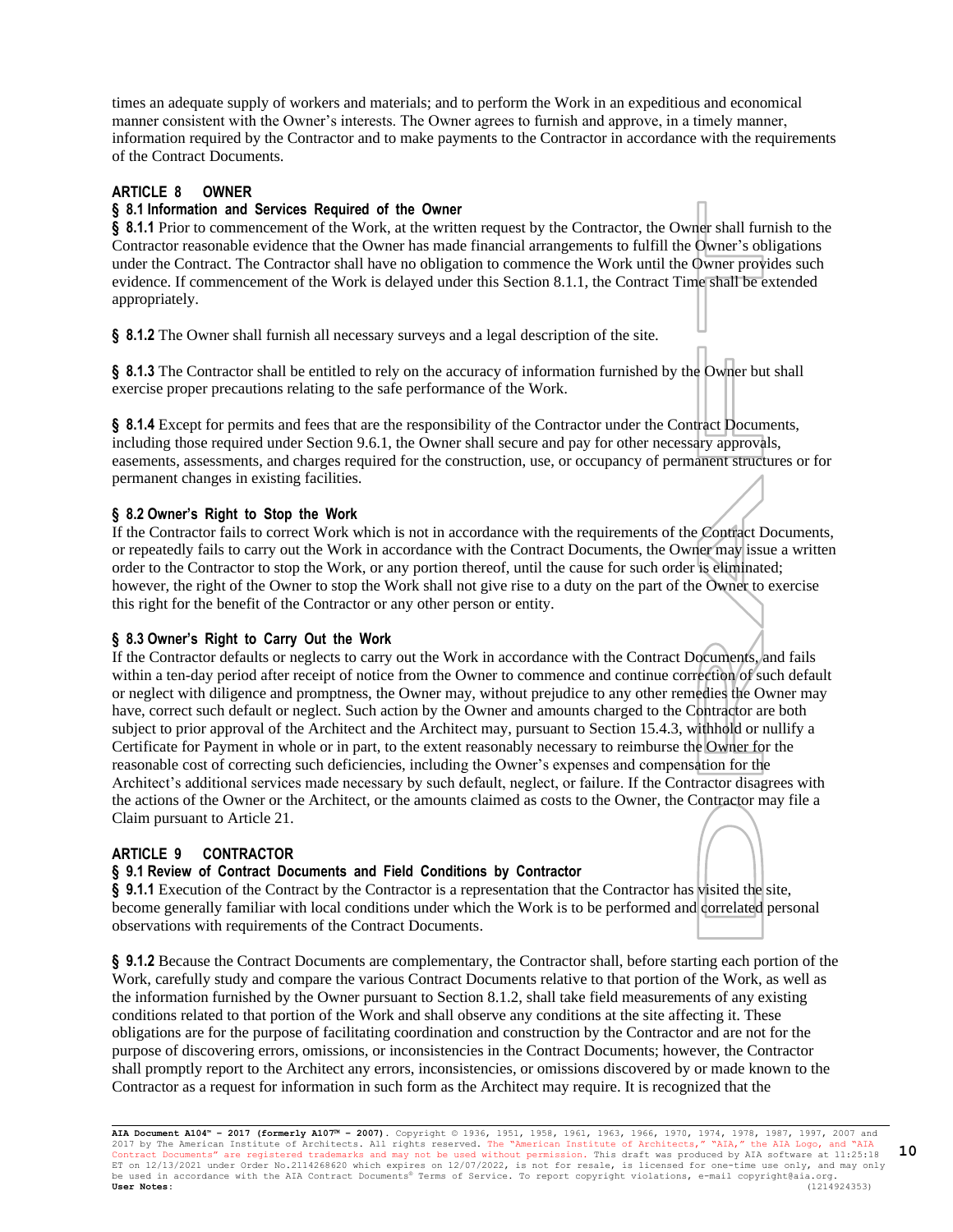times an adequate supply of workers and materials; and to perform the Work in an expeditious and economical manner consistent with the Owner's interests. The Owner agrees to furnish and approve, in a timely manner, information required by the Contractor and to make payments to the Contractor in accordance with the requirements of the Contract Documents.

## **ARTICLE 8 OWNER**

#### **§ 8.1 Information and Services Required of the Owner**

**§ 8.1.1** Prior to commencement of the Work, at the written request by the Contractor, the Owner shall furnish to the Contractor reasonable evidence that the Owner has made financial arrangements to fulfill the Owner's obligations under the Contract. The Contractor shall have no obligation to commence the Work until the Owner provides such evidence. If commencement of the Work is delayed under this Section 8.1.1, the Contract Time shall be extended appropriately.

**§ 8.1.2** The Owner shall furnish all necessary surveys and a legal description of the site.

**§ 8.1.3** The Contractor shall be entitled to rely on the accuracy of information furnished by the Owner but shall exercise proper precautions relating to the safe performance of the Work.

**§ 8.1.4** Except for permits and fees that are the responsibility of the Contractor under the Contract Documents, including those required under Section 9.6.1, the Owner shall secure and pay for other necessary approvals, easements, assessments, and charges required for the construction, use, or occupancy of permanent structures or for permanent changes in existing facilities.

#### **§ 8.2 Owner's Right to Stop the Work**

If the Contractor fails to correct Work which is not in accordance with the requirements of the Contract Documents, or repeatedly fails to carry out the Work in accordance with the Contract Documents, the Owner may issue a written order to the Contractor to stop the Work, or any portion thereof, until the cause for such order is eliminated; however, the right of the Owner to stop the Work shall not give rise to a duty on the part of the Owner to exercise this right for the benefit of the Contractor or any other person or entity.

#### **§ 8.3 Owner's Right to Carry Out the Work**

If the Contractor defaults or neglects to carry out the Work in accordance with the Contract Documents, and fails within a ten-day period after receipt of notice from the Owner to commence and continue correction of such default or neglect with diligence and promptness, the Owner may, without prejudice to any other remedies the Owner may have, correct such default or neglect. Such action by the Owner and amounts charged to the Contractor are both subject to prior approval of the Architect and the Architect may, pursuant to Section 15.4.3, withhold or nullify a Certificate for Payment in whole or in part, to the extent reasonably necessary to reimburse the Owner for the reasonable cost of correcting such deficiencies, including the Owner's expenses and compensation for the Architect's additional services made necessary by such default, neglect, or failure. If the Contractor disagrees with the actions of the Owner or the Architect, or the amounts claimed as costs to the Owner, the Contractor may file a Claim pursuant to Article 21.

#### **ARTICLE 9 CONTRACTOR**

#### **§ 9.1 Review of Contract Documents and Field Conditions by Contractor**

§ **9.1.1** Execution of the Contract by the Contractor is a representation that the Contractor has visited the site, become generally familiar with local conditions under which the Work is to be performed and correlated personal observations with requirements of the Contract Documents.

**§ 9.1.2** Because the Contract Documents are complementary, the Contractor shall, before starting each portion of the Work, carefully study and compare the various Contract Documents relative to that portion of the Work, as well as the information furnished by the Owner pursuant to Section 8.1.2, shall take field measurements of any existing conditions related to that portion of the Work and shall observe any conditions at the site affecting it. These obligations are for the purpose of facilitating coordination and construction by the Contractor and are not for the purpose of discovering errors, omissions, or inconsistencies in the Contract Documents; however, the Contractor shall promptly report to the Architect any errors, inconsistencies, or omissions discovered by or made known to the Contractor as a request for information in such form as the Architect may require. It is recognized that the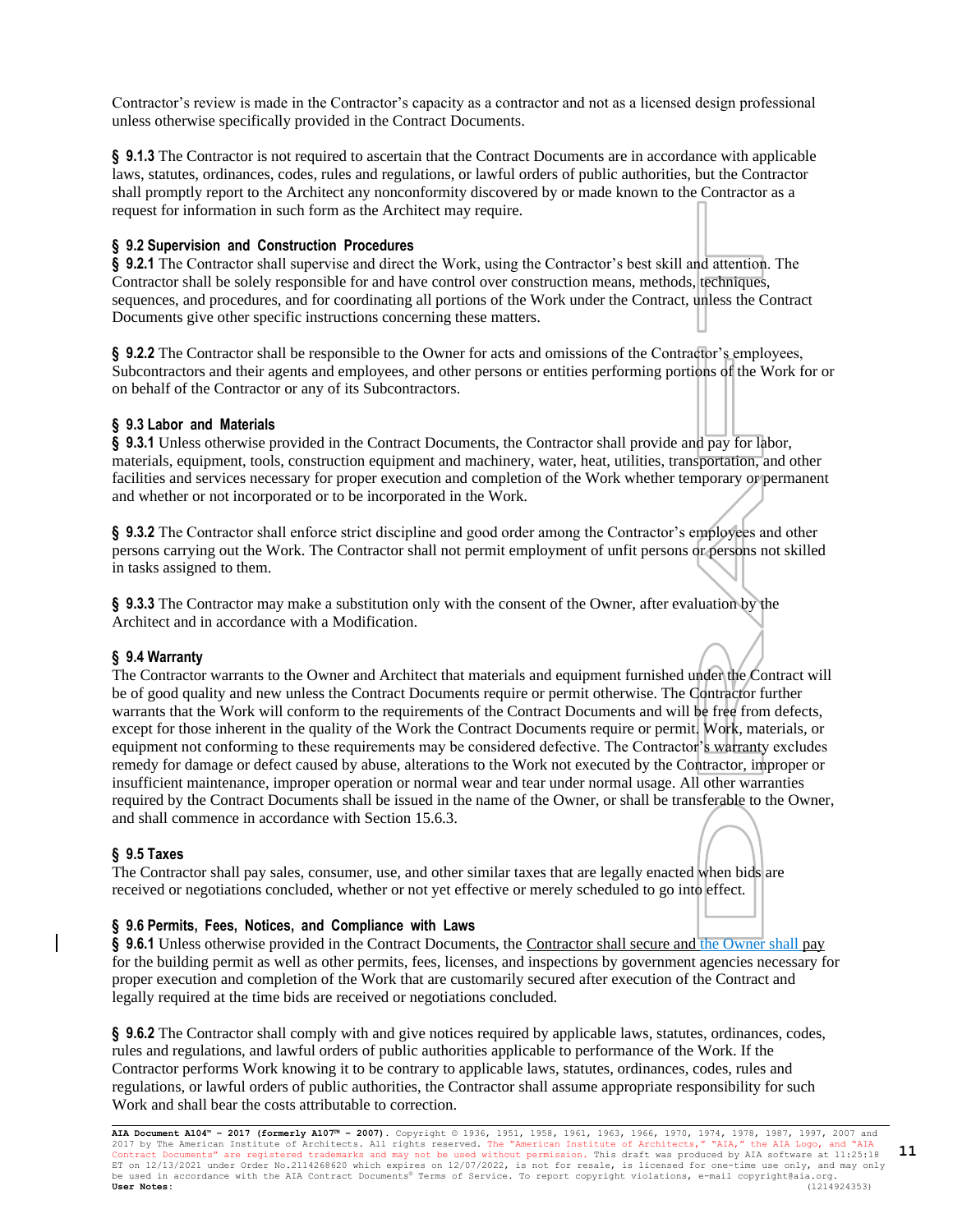Contractor's review is made in the Contractor's capacity as a contractor and not as a licensed design professional unless otherwise specifically provided in the Contract Documents.

**§ 9.1.3** The Contractor is not required to ascertain that the Contract Documents are in accordance with applicable laws, statutes, ordinances, codes, rules and regulations, or lawful orders of public authorities, but the Contractor shall promptly report to the Architect any nonconformity discovered by or made known to the Contractor as a request for information in such form as the Architect may require.

## **§ 9.2 Supervision and Construction Procedures**

**§ 9.2.1** The Contractor shall supervise and direct the Work, using the Contractor's best skill and attention. The Contractor shall be solely responsible for and have control over construction means, methods, techniques, sequences, and procedures, and for coordinating all portions of the Work under the Contract, unless the Contract Documents give other specific instructions concerning these matters.

**§ 9.2.2** The Contractor shall be responsible to the Owner for acts and omissions of the Contractor's employees, Subcontractors and their agents and employees, and other persons or entities performing portions of the Work for or on behalf of the Contractor or any of its Subcontractors.

## **§ 9.3 Labor and Materials**

**§ 9.3.1** Unless otherwise provided in the Contract Documents, the Contractor shall provide and pay for labor, materials, equipment, tools, construction equipment and machinery, water, heat, utilities, transportation, and other facilities and services necessary for proper execution and completion of the Work whether temporary or permanent and whether or not incorporated or to be incorporated in the Work.

**§ 9.3.2** The Contractor shall enforce strict discipline and good order among the Contractor's employees and other persons carrying out the Work. The Contractor shall not permit employment of unfit persons or persons not skilled in tasks assigned to them.

**§ 9.3.3** The Contractor may make a substitution only with the consent of the Owner, after evaluation by the Architect and in accordance with a Modification.

## **§ 9.4 Warranty**

The Contractor warrants to the Owner and Architect that materials and equipment furnished under the Contract will be of good quality and new unless the Contract Documents require or permit otherwise. The Contractor further warrants that the Work will conform to the requirements of the Contract Documents and will be free from defects, except for those inherent in the quality of the Work the Contract Documents require or permit. Work, materials, or equipment not conforming to these requirements may be considered defective. The Contractor's warranty excludes remedy for damage or defect caused by abuse, alterations to the Work not executed by the Contractor, improper or insufficient maintenance, improper operation or normal wear and tear under normal usage. All other warranties required by the Contract Documents shall be issued in the name of the Owner, or shall be transferable to the Owner, and shall commence in accordance with Section 15.6.3.

## **§ 9.5 Taxes**

The Contractor shall pay sales, consumer, use, and other similar taxes that are legally enacted when bids are received or negotiations concluded, whether or not yet effective or merely scheduled to go into effect.

## **§ 9.6 Permits, Fees, Notices, and Compliance with Laws**

**§ 9.6.1** Unless otherwise provided in the Contract Documents, the Contractor shall secure and the Owner shall pay for the building permit as well as other permits, fees, licenses, and inspections by government agencies necessary for proper execution and completion of the Work that are customarily secured after execution of the Contract and legally required at the time bids are received or negotiations concluded.

**§ 9.6.2** The Contractor shall comply with and give notices required by applicable laws, statutes, ordinances, codes, rules and regulations, and lawful orders of public authorities applicable to performance of the Work. If the Contractor performs Work knowing it to be contrary to applicable laws, statutes, ordinances, codes, rules and regulations, or lawful orders of public authorities, the Contractor shall assume appropriate responsibility for such Work and shall bear the costs attributable to correction.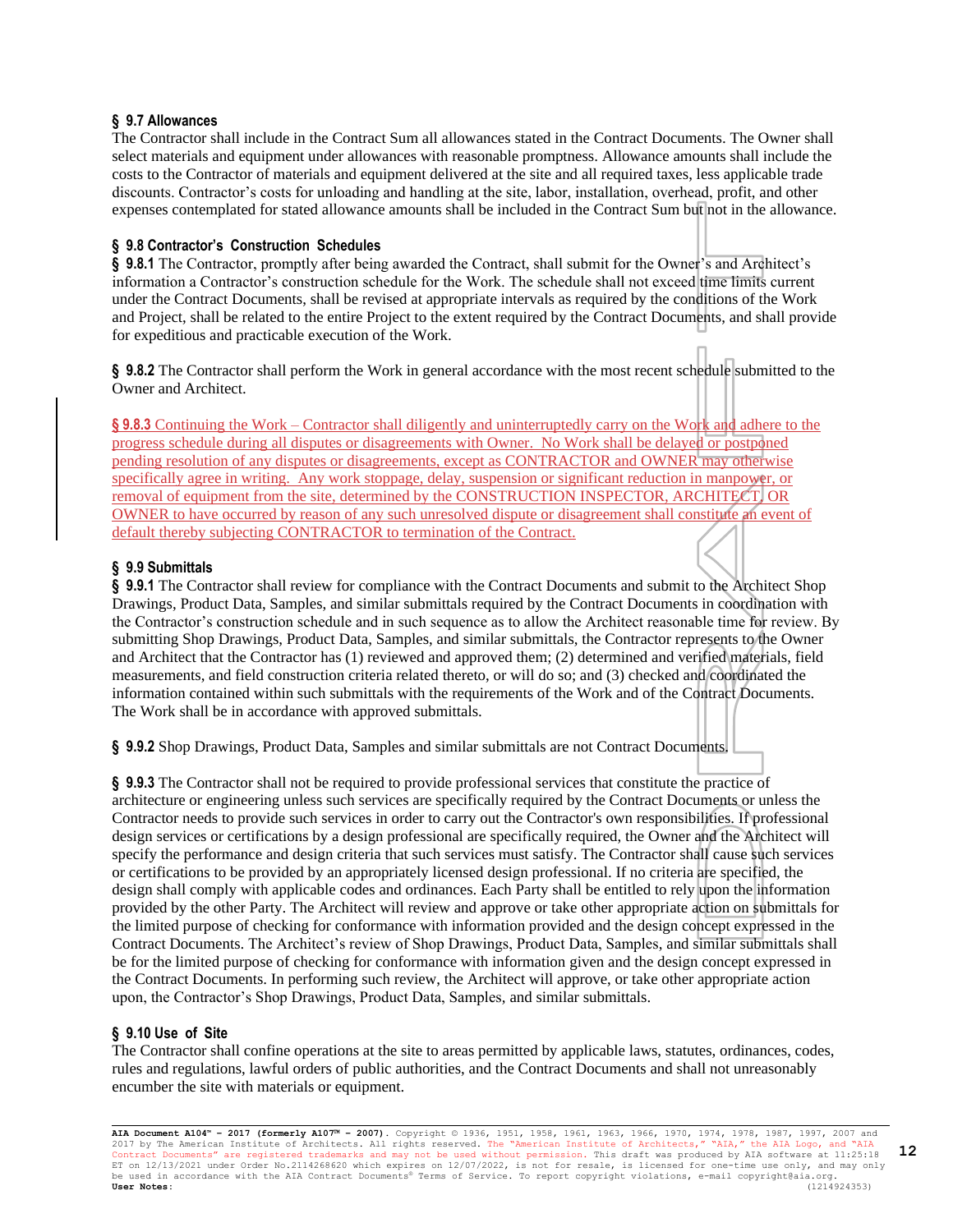## **§ 9.7 Allowances**

The Contractor shall include in the Contract Sum all allowances stated in the Contract Documents. The Owner shall select materials and equipment under allowances with reasonable promptness. Allowance amounts shall include the costs to the Contractor of materials and equipment delivered at the site and all required taxes, less applicable trade discounts. Contractor's costs for unloading and handling at the site, labor, installation, overhead, profit, and other expenses contemplated for stated allowance amounts shall be included in the Contract Sum but not in the allowance.

## **§ 9.8 Contractor's Construction Schedules**

**§ 9.8.1** The Contractor, promptly after being awarded the Contract, shall submit for the Owner's and Architect's information a Contractor's construction schedule for the Work. The schedule shall not exceed time limits current under the Contract Documents, shall be revised at appropriate intervals as required by the conditions of the Work and Project, shall be related to the entire Project to the extent required by the Contract Documents, and shall provide for expeditious and practicable execution of the Work.

**§ 9.8.2** The Contractor shall perform the Work in general accordance with the most recent schedule submitted to the Owner and Architect.

**§ 9.8.3** Continuing the Work – Contractor shall diligently and uninterruptedly carry on the Work and adhere to the progress schedule during all disputes or disagreements with Owner. No Work shall be delayed or postponed pending resolution of any disputes or disagreements, except as CONTRACTOR and OWNER may otherwise specifically agree in writing. Any work stoppage, delay, suspension or significant reduction in manpower, or removal of equipment from the site, determined by the CONSTRUCTION INSPECTOR, ARCHITECT, OR OWNER to have occurred by reason of any such unresolved dispute or disagreement shall constitute an event of default thereby subjecting CONTRACTOR to termination of the Contract.

# **§ 9.9 Submittals**

**§ 9.9.1** The Contractor shall review for compliance with the Contract Documents and submit to the Architect Shop Drawings, Product Data, Samples, and similar submittals required by the Contract Documents in coordination with the Contractor's construction schedule and in such sequence as to allow the Architect reasonable time for review. By submitting Shop Drawings, Product Data, Samples, and similar submittals, the Contractor represents to the Owner and Architect that the Contractor has (1) reviewed and approved them; (2) determined and verified materials, field measurements, and field construction criteria related thereto, or will do so; and (3) checked and coordinated the information contained within such submittals with the requirements of the Work and of the Contract Documents. The Work shall be in accordance with approved submittals.

**§ 9.9.2** Shop Drawings, Product Data, Samples and similar submittals are not Contract Documents.

**§ 9.9.3** The Contractor shall not be required to provide professional services that constitute the practice of architecture or engineering unless such services are specifically required by the Contract Documents or unless the Contractor needs to provide such services in order to carry out the Contractor's own responsibilities. If professional design services or certifications by a design professional are specifically required, the Owner and the Architect will specify the performance and design criteria that such services must satisfy. The Contractor shall cause such services or certifications to be provided by an appropriately licensed design professional. If no criteria are specified, the design shall comply with applicable codes and ordinances. Each Party shall be entitled to rely upon the information provided by the other Party. The Architect will review and approve or take other appropriate action on submittals for the limited purpose of checking for conformance with information provided and the design concept expressed in the Contract Documents. The Architect's review of Shop Drawings, Product Data, Samples, and similar submittals shall be for the limited purpose of checking for conformance with information given and the design concept expressed in the Contract Documents. In performing such review, the Architect will approve, or take other appropriate action upon, the Contractor's Shop Drawings, Product Data, Samples, and similar submittals.

# **§ 9.10 Use of Site**

The Contractor shall confine operations at the site to areas permitted by applicable laws, statutes, ordinances, codes, rules and regulations, lawful orders of public authorities, and the Contract Documents and shall not unreasonably encumber the site with materials or equipment.

**AIA Document A104™ – 2017 (formerly A107™ – 2007).** Copyright © 1936, 1951, 1958, 1961, 1963, 1966, 1970, 1974, 1978, 1987, 1997, 2007 and 2017 by The American Institute of Architects. All rights reserved. The "American Institute of Architects," "AIA," the AIA Logo, and "AIA<br>Contract Documents" are registered trademarks and may not be used without permission. ET on 12/13/2021 under Order No.2114268620 which expires on 12/07/2022, is not for resale, is licensed for one-time use only, and may only<br>be used in accordance with the AIA Contract Documents® Terms of Service. To report **User Notes:** (1214924353)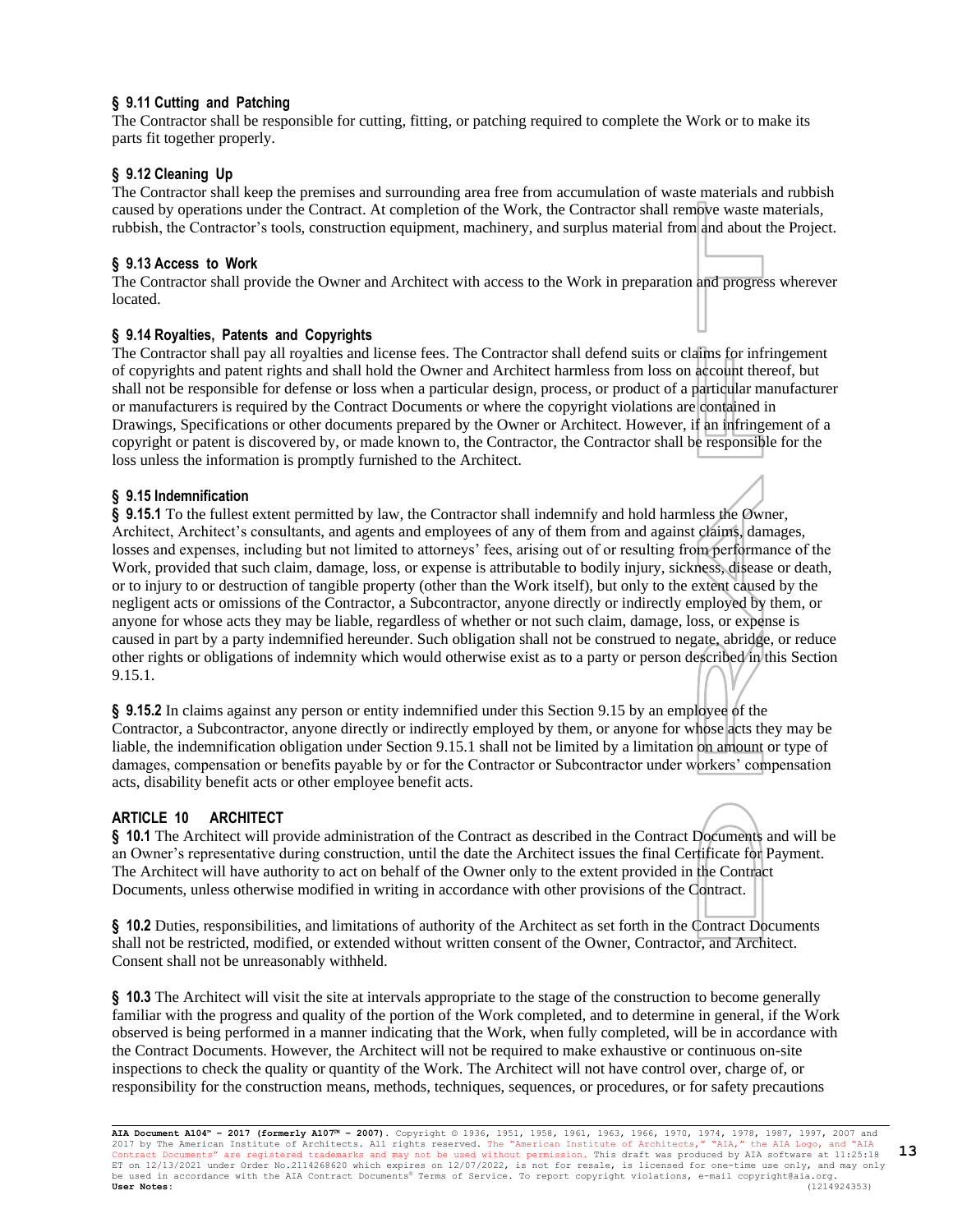## **§ 9.11 Cutting and Patching**

The Contractor shall be responsible for cutting, fitting, or patching required to complete the Work or to make its parts fit together properly.

## **§ 9.12 Cleaning Up**

The Contractor shall keep the premises and surrounding area free from accumulation of waste materials and rubbish caused by operations under the Contract. At completion of the Work, the Contractor shall remove waste materials, rubbish, the Contractor's tools, construction equipment, machinery, and surplus material from and about the Project.

## **§ 9.13 Access to Work**

The Contractor shall provide the Owner and Architect with access to the Work in preparation and progress wherever located.

## **§ 9.14 Royalties, Patents and Copyrights**

The Contractor shall pay all royalties and license fees. The Contractor shall defend suits or claims for infringement of copyrights and patent rights and shall hold the Owner and Architect harmless from loss on account thereof, but shall not be responsible for defense or loss when a particular design, process, or product of a particular manufacturer or manufacturers is required by the Contract Documents or where the copyright violations are contained in Drawings, Specifications or other documents prepared by the Owner or Architect. However, if an infringement of a copyright or patent is discovered by, or made known to, the Contractor, the Contractor shall be responsible for the loss unless the information is promptly furnished to the Architect.

## **§ 9.15 Indemnification**

**§ 9.15.1** To the fullest extent permitted by law, the Contractor shall indemnify and hold harmless the Owner, Architect, Architect's consultants, and agents and employees of any of them from and against claims, damages, losses and expenses, including but not limited to attorneys' fees, arising out of or resulting from performance of the Work, provided that such claim, damage, loss, or expense is attributable to bodily injury, sickness, disease or death, or to injury to or destruction of tangible property (other than the Work itself), but only to the extent caused by the negligent acts or omissions of the Contractor, a Subcontractor, anyone directly or indirectly employed by them, or anyone for whose acts they may be liable, regardless of whether or not such claim, damage, loss, or expense is caused in part by a party indemnified hereunder. Such obligation shall not be construed to negate, abridge, or reduce other rights or obligations of indemnity which would otherwise exist as to a party or person described in this Section 9.15.1.

**§ 9.15.2** In claims against any person or entity indemnified under this Section 9.15 by an employee of the Contractor, a Subcontractor, anyone directly or indirectly employed by them, or anyone for whose acts they may be liable, the indemnification obligation under Section 9.15.1 shall not be limited by a limitation on amount or type of damages, compensation or benefits payable by or for the Contractor or Subcontractor under workers' compensation acts, disability benefit acts or other employee benefit acts.

# **ARTICLE 10 ARCHITECT**

**§ 10.1** The Architect will provide administration of the Contract as described in the Contract Documents and will be an Owner's representative during construction, until the date the Architect issues the final Certificate for Payment. The Architect will have authority to act on behalf of the Owner only to the extent provided in the Contract Documents, unless otherwise modified in writing in accordance with other provisions of the Contract.

**§ 10.2** Duties, responsibilities, and limitations of authority of the Architect as set forth in the Contract Documents shall not be restricted, modified, or extended without written consent of the Owner, Contractor, and Architect. Consent shall not be unreasonably withheld.

**§ 10.3** The Architect will visit the site at intervals appropriate to the stage of the construction to become generally familiar with the progress and quality of the portion of the Work completed, and to determine in general, if the Work observed is being performed in a manner indicating that the Work, when fully completed, will be in accordance with the Contract Documents. However, the Architect will not be required to make exhaustive or continuous on-site inspections to check the quality or quantity of the Work. The Architect will not have control over, charge of, or responsibility for the construction means, methods, techniques, sequences, or procedures, or for safety precautions

**AIA Document A104™ – 2017 (formerly A107™ – 2007).** Copyright © 1936, 1951, 1958, 1961, 1963, 1966, 1970, 1974, 1978, 1987, 1997, 2007 and 2017 by The American Institute of Architects. All rights reserved. The "American Institute of Architects," "AIA," the AIA Logo, and "AIA<br>Contract Documents" are registered trademarks and may not be used without permission. ET on 12/13/2021 under Order No.2114268620 which expires on 12/07/2022, is not for resale, is licensed for one-time use only, and may only<br>be used in accordance with the AIA Contract Documents® Terms of Service. To report **User Notes:** (1214924353)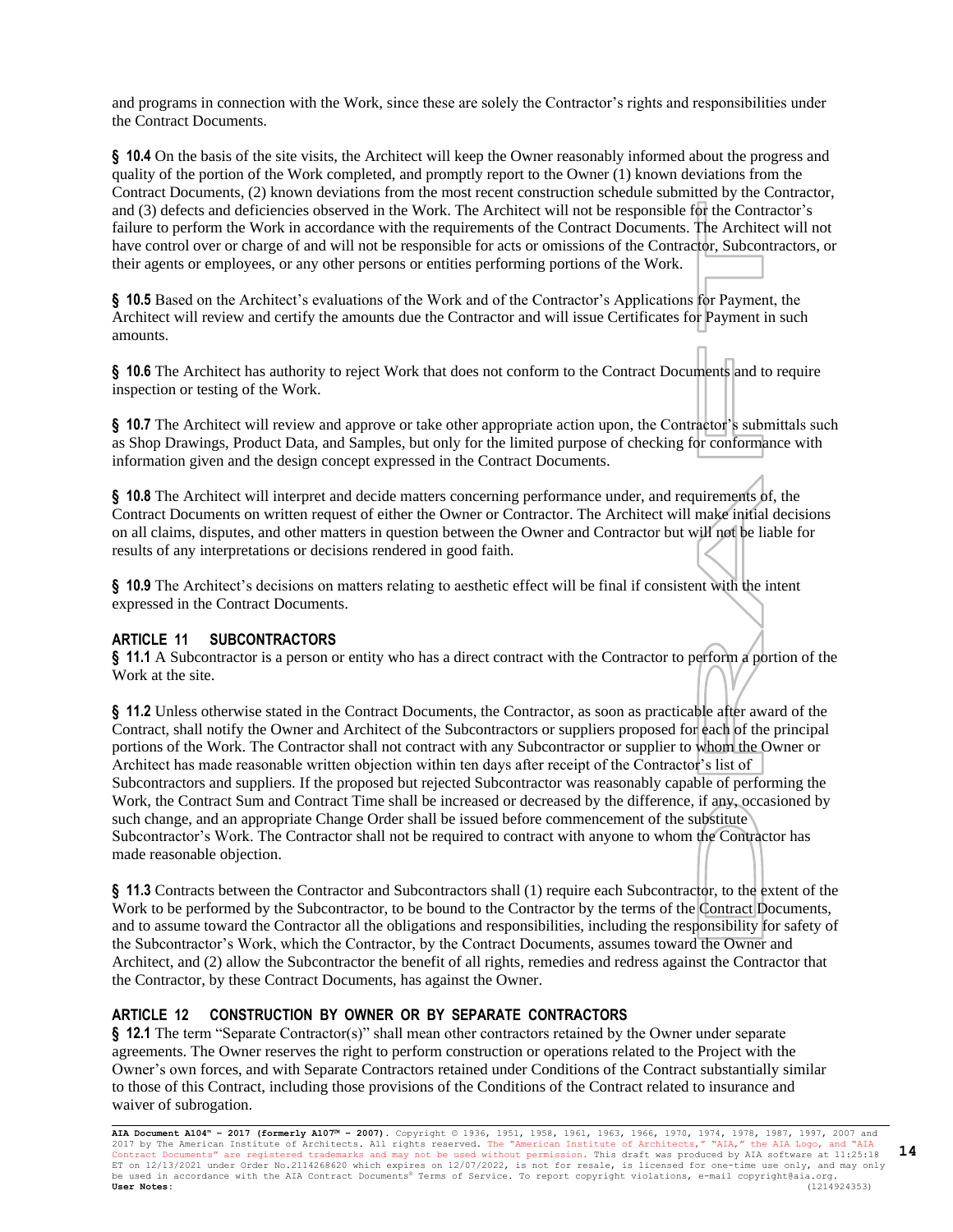and programs in connection with the Work, since these are solely the Contractor's rights and responsibilities under the Contract Documents.

**§ 10.4** On the basis of the site visits, the Architect will keep the Owner reasonably informed about the progress and quality of the portion of the Work completed, and promptly report to the Owner (1) known deviations from the Contract Documents, (2) known deviations from the most recent construction schedule submitted by the Contractor, and (3) defects and deficiencies observed in the Work. The Architect will not be responsible for the Contractor's failure to perform the Work in accordance with the requirements of the Contract Documents. The Architect will not have control over or charge of and will not be responsible for acts or omissions of the Contractor, Subcontractors, or their agents or employees, or any other persons or entities performing portions of the Work.

**§ 10.5** Based on the Architect's evaluations of the Work and of the Contractor's Applications for Payment, the Architect will review and certify the amounts due the Contractor and will issue Certificates for Payment in such amounts.

**§ 10.6** The Architect has authority to reject Work that does not conform to the Contract Documents and to require inspection or testing of the Work.

**§ 10.7** The Architect will review and approve or take other appropriate action upon, the Contractor's submittals such as Shop Drawings, Product Data, and Samples, but only for the limited purpose of checking for conformance with information given and the design concept expressed in the Contract Documents.

**§ 10.8** The Architect will interpret and decide matters concerning performance under, and requirements of, the Contract Documents on written request of either the Owner or Contractor. The Architect will make initial decisions on all claims, disputes, and other matters in question between the Owner and Contractor but will not be liable for results of any interpretations or decisions rendered in good faith.

**§ 10.9** The Architect's decisions on matters relating to aesthetic effect will be final if consistent with the intent expressed in the Contract Documents.

## **ARTICLE 11 SUBCONTRACTORS**

**§ 11.1** A Subcontractor is a person or entity who has a direct contract with the Contractor to perform a portion of the Work at the site.

**§ 11.2** Unless otherwise stated in the Contract Documents, the Contractor, as soon as practicable after award of the Contract, shall notify the Owner and Architect of the Subcontractors or suppliers proposed for each of the principal portions of the Work. The Contractor shall not contract with any Subcontractor or supplier to whom the Owner or Architect has made reasonable written objection within ten days after receipt of the Contractor's list of Subcontractors and suppliers. If the proposed but rejected Subcontractor was reasonably capable of performing the Work, the Contract Sum and Contract Time shall be increased or decreased by the difference, if any, occasioned by such change, and an appropriate Change Order shall be issued before commencement of the substitute Subcontractor's Work. The Contractor shall not be required to contract with anyone to whom the Contractor has made reasonable objection.

**§ 11.3** Contracts between the Contractor and Subcontractors shall (1) require each Subcontractor, to the extent of the Work to be performed by the Subcontractor, to be bound to the Contractor by the terms of the Contract Documents, and to assume toward the Contractor all the obligations and responsibilities, including the responsibility for safety of the Subcontractor's Work, which the Contractor, by the Contract Documents, assumes toward the Owner and Architect, and (2) allow the Subcontractor the benefit of all rights, remedies and redress against the Contractor that the Contractor, by these Contract Documents, has against the Owner.

## **ARTICLE 12 CONSTRUCTION BY OWNER OR BY SEPARATE CONTRACTORS**

**§ 12.1** The term "Separate Contractor(s)" shall mean other contractors retained by the Owner under separate agreements. The Owner reserves the right to perform construction or operations related to the Project with the Owner's own forces, and with Separate Contractors retained under Conditions of the Contract substantially similar to those of this Contract, including those provisions of the Conditions of the Contract related to insurance and waiver of subrogation.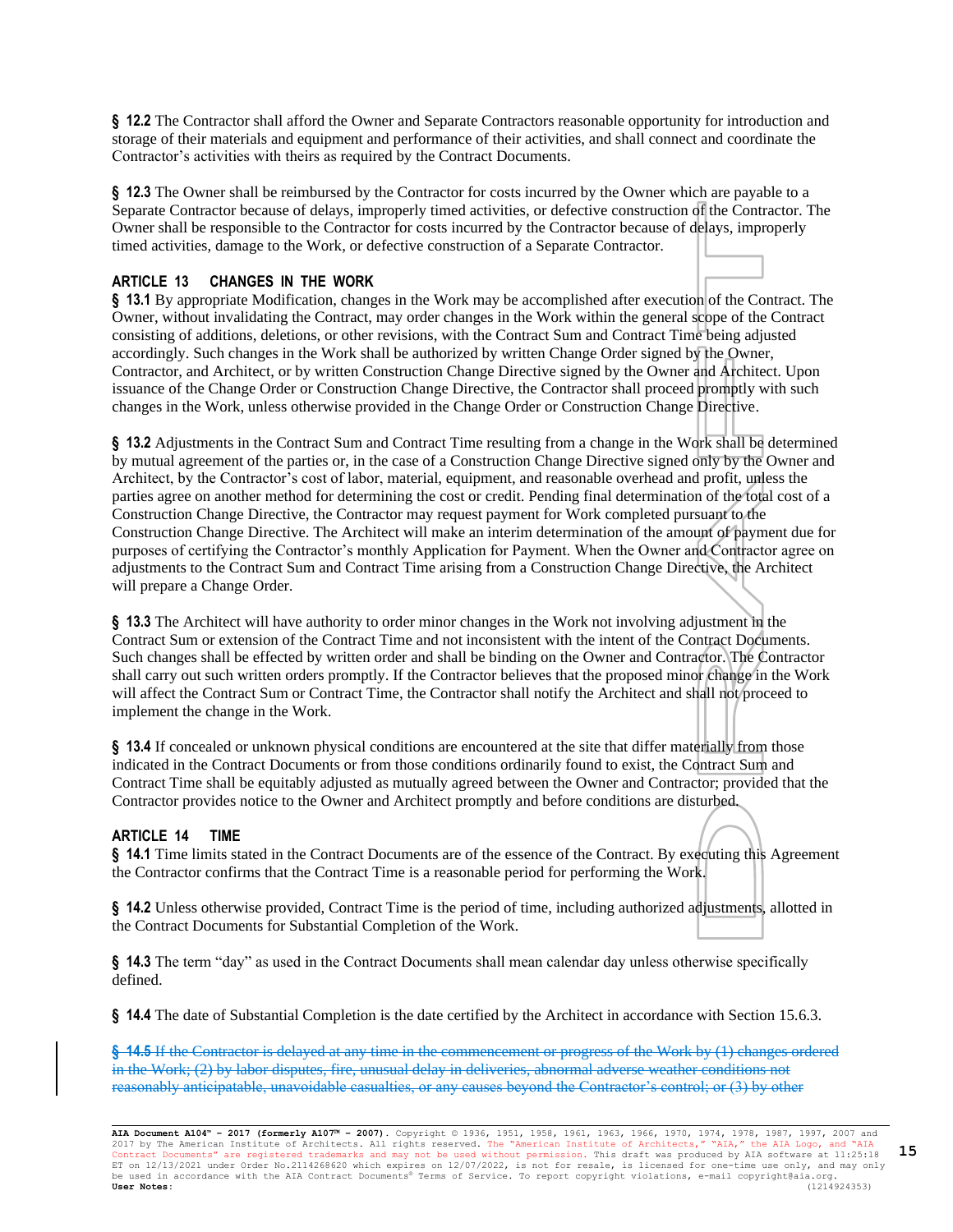**§ 12.2** The Contractor shall afford the Owner and Separate Contractors reasonable opportunity for introduction and storage of their materials and equipment and performance of their activities, and shall connect and coordinate the Contractor's activities with theirs as required by the Contract Documents.

**§ 12.3** The Owner shall be reimbursed by the Contractor for costs incurred by the Owner which are payable to a Separate Contractor because of delays, improperly timed activities, or defective construction of the Contractor. The Owner shall be responsible to the Contractor for costs incurred by the Contractor because of delays, improperly timed activities, damage to the Work, or defective construction of a Separate Contractor.

# **ARTICLE 13 CHANGES IN THE WORK**

**§ 13.1** By appropriate Modification, changes in the Work may be accomplished after execution of the Contract. The Owner, without invalidating the Contract, may order changes in the Work within the general scope of the Contract consisting of additions, deletions, or other revisions, with the Contract Sum and Contract Time being adjusted accordingly. Such changes in the Work shall be authorized by written Change Order signed by the Owner, Contractor, and Architect, or by written Construction Change Directive signed by the Owner and Architect. Upon issuance of the Change Order or Construction Change Directive, the Contractor shall proceed promptly with such changes in the Work, unless otherwise provided in the Change Order or Construction Change Directive.

**§ 13.2** Adjustments in the Contract Sum and Contract Time resulting from a change in the Work shall be determined by mutual agreement of the parties or, in the case of a Construction Change Directive signed only by the Owner and Architect, by the Contractor's cost of labor, material, equipment, and reasonable overhead and profit, unless the parties agree on another method for determining the cost or credit. Pending final determination of the total cost of a Construction Change Directive, the Contractor may request payment for Work completed pursuant to the Construction Change Directive. The Architect will make an interim determination of the amount of payment due for purposes of certifying the Contractor's monthly Application for Payment. When the Owner and Contractor agree on adjustments to the Contract Sum and Contract Time arising from a Construction Change Directive, the Architect will prepare a Change Order.

**§ 13.3** The Architect will have authority to order minor changes in the Work not involving adjustment in the Contract Sum or extension of the Contract Time and not inconsistent with the intent of the Contract Documents. Such changes shall be effected by written order and shall be binding on the Owner and Contractor. The Contractor shall carry out such written orders promptly. If the Contractor believes that the proposed minor change in the Work will affect the Contract Sum or Contract Time, the Contractor shall notify the Architect and shall not proceed to implement the change in the Work.

**§ 13.4** If concealed or unknown physical conditions are encountered at the site that differ materially from those indicated in the Contract Documents or from those conditions ordinarily found to exist, the Contract Sum and Contract Time shall be equitably adjusted as mutually agreed between the Owner and Contractor; provided that the Contractor provides notice to the Owner and Architect promptly and before conditions are disturbed.

# **ARTICLE 14 TIME**

§ 14.1 Time limits stated in the Contract Documents are of the essence of the Contract. By executing this Agreement the Contractor confirms that the Contract Time is a reasonable period for performing the Work.

**§ 14.2** Unless otherwise provided, Contract Time is the period of time, including authorized adjustments, allotted in the Contract Documents for Substantial Completion of the Work.

**§ 14.3** The term "day" as used in the Contract Documents shall mean calendar day unless otherwise specifically defined.

**§ 14.4** The date of Substantial Completion is the date certified by the Architect in accordance with Section 15.6.3.

**§ 14.5** If the Contractor is delayed at any time in the commencement or progress of the Work by (1) changes ordered in the Work; (2) by labor disputes, fire, unusual delay in deliveries, abnormal adverse weather conditions not reasonably anticipatable, unavoidable casualties, or any causes beyond the Contractor's control; or (3) by other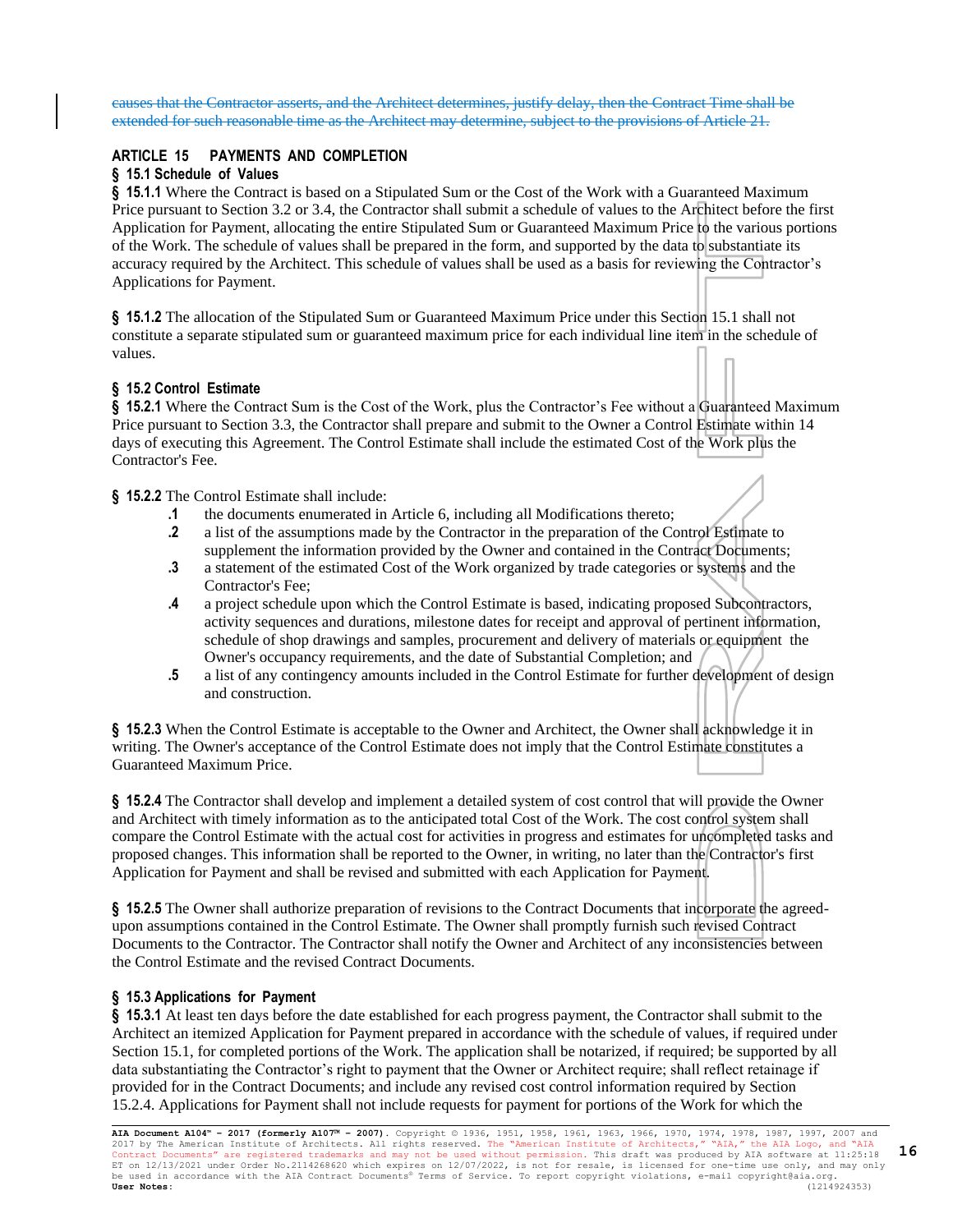causes that the Contractor asserts, and the Architect determines, justify delay, then the Contract Time shall be extended for such reasonable time as the Architect may determine, subject to the provisions of Article 21.

## **ARTICLE 15 PAYMENTS AND COMPLETION**

#### **§ 15.1 Schedule of Values**

**§ 15.1.1** Where the Contract is based on a Stipulated Sum or the Cost of the Work with a Guaranteed Maximum Price pursuant to Section 3.2 or 3.4, the Contractor shall submit a schedule of values to the Architect before the first Application for Payment, allocating the entire Stipulated Sum or Guaranteed Maximum Price to the various portions of the Work. The schedule of values shall be prepared in the form, and supported by the data to substantiate its accuracy required by the Architect. This schedule of values shall be used as a basis for reviewing the Contractor's Applications for Payment.

**§ 15.1.2** The allocation of the Stipulated Sum or Guaranteed Maximum Price under this Section 15.1 shall not constitute a separate stipulated sum or guaranteed maximum price for each individual line item in the schedule of values.

## **§ 15.2 Control Estimate**

**§ 15.2.1** Where the Contract Sum is the Cost of the Work, plus the Contractor's Fee without a Guaranteed Maximum Price pursuant to Section 3.3, the Contractor shall prepare and submit to the Owner a Control Estimate within 14 days of executing this Agreement. The Control Estimate shall include the estimated Cost of the Work plus the Contractor's Fee.

**§ 15.2.2** The Control Estimate shall include:

- **.1** the documents enumerated in Article 6, including all Modifications thereto;
- **.2** a list of the assumptions made by the Contractor in the preparation of the Control Estimate to supplement the information provided by the Owner and contained in the Contract Documents;
- **.3** a statement of the estimated Cost of the Work organized by trade categories or systems and the Contractor's Fee;
- **.4** a project schedule upon which the Control Estimate is based, indicating proposed Subcontractors, activity sequences and durations, milestone dates for receipt and approval of pertinent information, schedule of shop drawings and samples, procurement and delivery of materials or equipment the Owner's occupancy requirements, and the date of Substantial Completion; and
- **.5** a list of any contingency amounts included in the Control Estimate for further development of design and construction.

**§ 15.2.3** When the Control Estimate is acceptable to the Owner and Architect, the Owner shall acknowledge it in writing. The Owner's acceptance of the Control Estimate does not imply that the Control Estimate constitutes a Guaranteed Maximum Price.

**§ 15.2.4** The Contractor shall develop and implement a detailed system of cost control that will provide the Owner and Architect with timely information as to the anticipated total Cost of the Work. The cost control system shall compare the Control Estimate with the actual cost for activities in progress and estimates for uncompleted tasks and proposed changes. This information shall be reported to the Owner, in writing, no later than the Contractor's first Application for Payment and shall be revised and submitted with each Application for Payment.

**§ 15.2.5** The Owner shall authorize preparation of revisions to the Contract Documents that incorporate the agreedupon assumptions contained in the Control Estimate. The Owner shall promptly furnish such revised Contract Documents to the Contractor. The Contractor shall notify the Owner and Architect of any inconsistencies between the Control Estimate and the revised Contract Documents.

## **§ 15.3 Applications for Payment**

**§ 15.3.1** At least ten days before the date established for each progress payment, the Contractor shall submit to the Architect an itemized Application for Payment prepared in accordance with the schedule of values, if required under Section 15.1, for completed portions of the Work. The application shall be notarized, if required; be supported by all data substantiating the Contractor's right to payment that the Owner or Architect require; shall reflect retainage if provided for in the Contract Documents; and include any revised cost control information required by Section 15.2.4. Applications for Payment shall not include requests for payment for portions of the Work for which the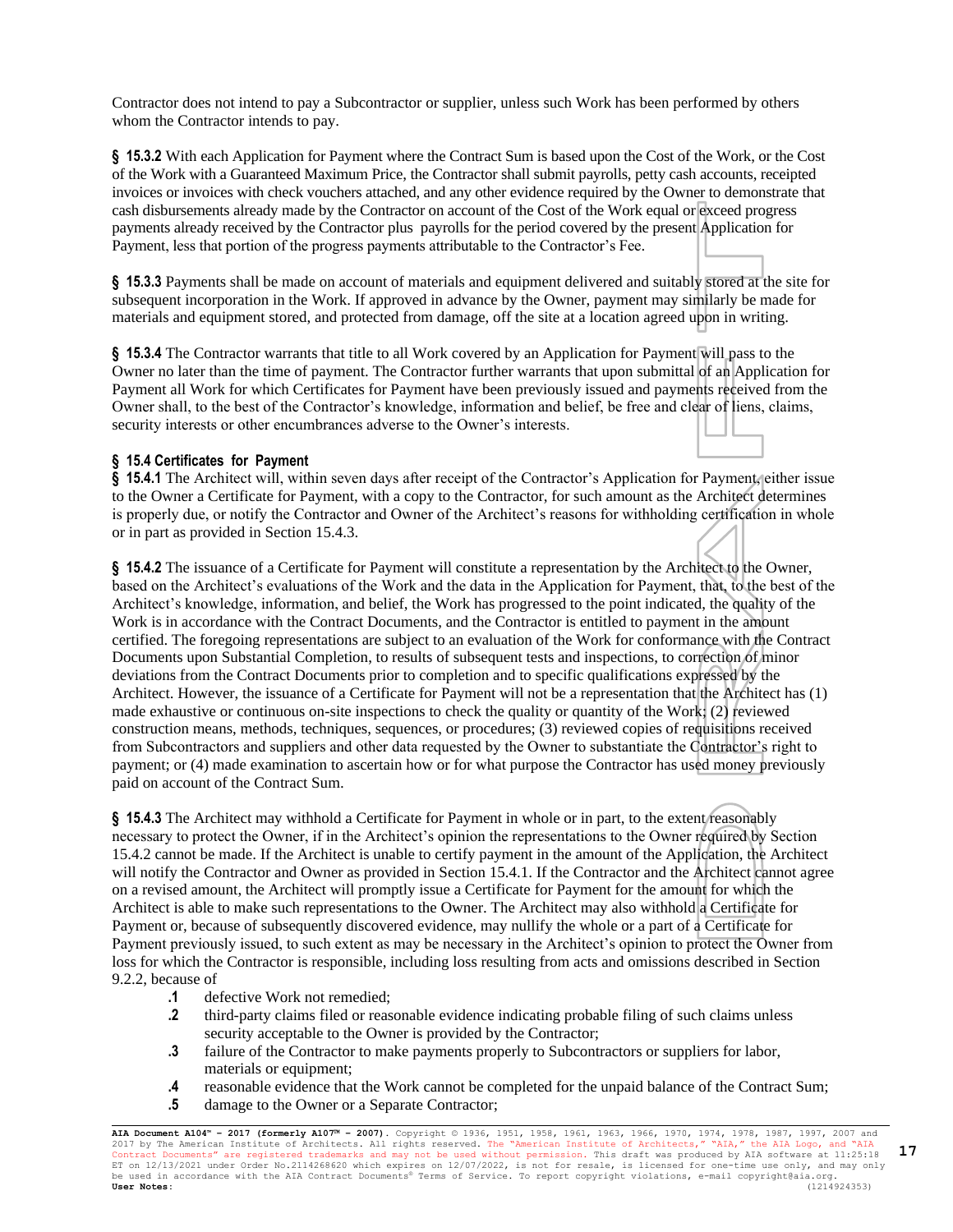Contractor does not intend to pay a Subcontractor or supplier, unless such Work has been performed by others whom the Contractor intends to pay.

**§ 15.3.2** With each Application for Payment where the Contract Sum is based upon the Cost of the Work, or the Cost of the Work with a Guaranteed Maximum Price, the Contractor shall submit payrolls, petty cash accounts, receipted invoices or invoices with check vouchers attached, and any other evidence required by the Owner to demonstrate that cash disbursements already made by the Contractor on account of the Cost of the Work equal or exceed progress payments already received by the Contractor plus payrolls for the period covered by the present Application for Payment, less that portion of the progress payments attributable to the Contractor's Fee.

**§ 15.3.3** Payments shall be made on account of materials and equipment delivered and suitably stored at the site for subsequent incorporation in the Work. If approved in advance by the Owner, payment may similarly be made for materials and equipment stored, and protected from damage, off the site at a location agreed upon in writing.

**§ 15.3.4** The Contractor warrants that title to all Work covered by an Application for Payment will pass to the Owner no later than the time of payment. The Contractor further warrants that upon submittal of an Application for Payment all Work for which Certificates for Payment have been previously issued and payments received from the Owner shall, to the best of the Contractor's knowledge, information and belief, be free and clear of liens, claims, security interests or other encumbrances adverse to the Owner's interests.

## **§ 15.4 Certificates for Payment**

**§ 15.4.1** The Architect will, within seven days after receipt of the Contractor's Application for Payment, either issue to the Owner a Certificate for Payment, with a copy to the Contractor, for such amount as the Architect determines is properly due, or notify the Contractor and Owner of the Architect's reasons for withholding certification in whole or in part as provided in Section 15.4.3.

**§ 15.4.2** The issuance of a Certificate for Payment will constitute a representation by the Architect to the Owner, based on the Architect's evaluations of the Work and the data in the Application for Payment, that, to the best of the Architect's knowledge, information, and belief, the Work has progressed to the point indicated, the quality of the Work is in accordance with the Contract Documents, and the Contractor is entitled to payment in the amount certified. The foregoing representations are subject to an evaluation of the Work for conformance with the Contract Documents upon Substantial Completion, to results of subsequent tests and inspections, to correction of minor deviations from the Contract Documents prior to completion and to specific qualifications expressed by the Architect. However, the issuance of a Certificate for Payment will not be a representation that the Architect has (1) made exhaustive or continuous on-site inspections to check the quality or quantity of the Work; (2) reviewed construction means, methods, techniques, sequences, or procedures; (3) reviewed copies of requisitions received from Subcontractors and suppliers and other data requested by the Owner to substantiate the Contractor's right to payment; or (4) made examination to ascertain how or for what purpose the Contractor has used money previously paid on account of the Contract Sum.

**§ 15.4.3** The Architect may withhold a Certificate for Payment in whole or in part, to the extent reasonably necessary to protect the Owner, if in the Architect's opinion the representations to the Owner required by Section 15.4.2 cannot be made. If the Architect is unable to certify payment in the amount of the Application, the Architect will notify the Contractor and Owner as provided in Section 15.4.1. If the Contractor and the Architect cannot agree on a revised amount, the Architect will promptly issue a Certificate for Payment for the amount for which the Architect is able to make such representations to the Owner. The Architect may also withhold a Certificate for Payment or, because of subsequently discovered evidence, may nullify the whole or a part of a Certificate for Payment previously issued, to such extent as may be necessary in the Architect's opinion to protect the Owner from loss for which the Contractor is responsible, including loss resulting from acts and omissions described in Section 9.2.2, because of

- **.1** defective Work not remedied;
- **.2** third-party claims filed or reasonable evidence indicating probable filing of such claims unless security acceptable to the Owner is provided by the Contractor;
- **.3** failure of the Contractor to make payments properly to Subcontractors or suppliers for labor, materials or equipment;
- **.4** reasonable evidence that the Work cannot be completed for the unpaid balance of the Contract Sum;
- **.5** damage to the Owner or a Separate Contractor;

**AIA Document A104™ – 2017 (formerly A107™ – 2007).** Copyright © 1936, 1951, 1958, 1961, 1963, 1966, 1970, 1974, 1978, 1987, 1997, 2007 and 2017 by The American Institute of Architects. All rights reserved. The "American Institute of Architects," "AIA," the AIA Logo, and "AIA<br>Contract Documents" are registered trademarks and may not be used without permission. ET on 12/13/2021 under Order No.2114268620 which expires on 12/07/2022, is not for resale, is licensed for one-time use only, and may only<br>be used in accordance with the AIA Contract Documents® Terms of Service. To report **User Notes:** (1214924353) **17**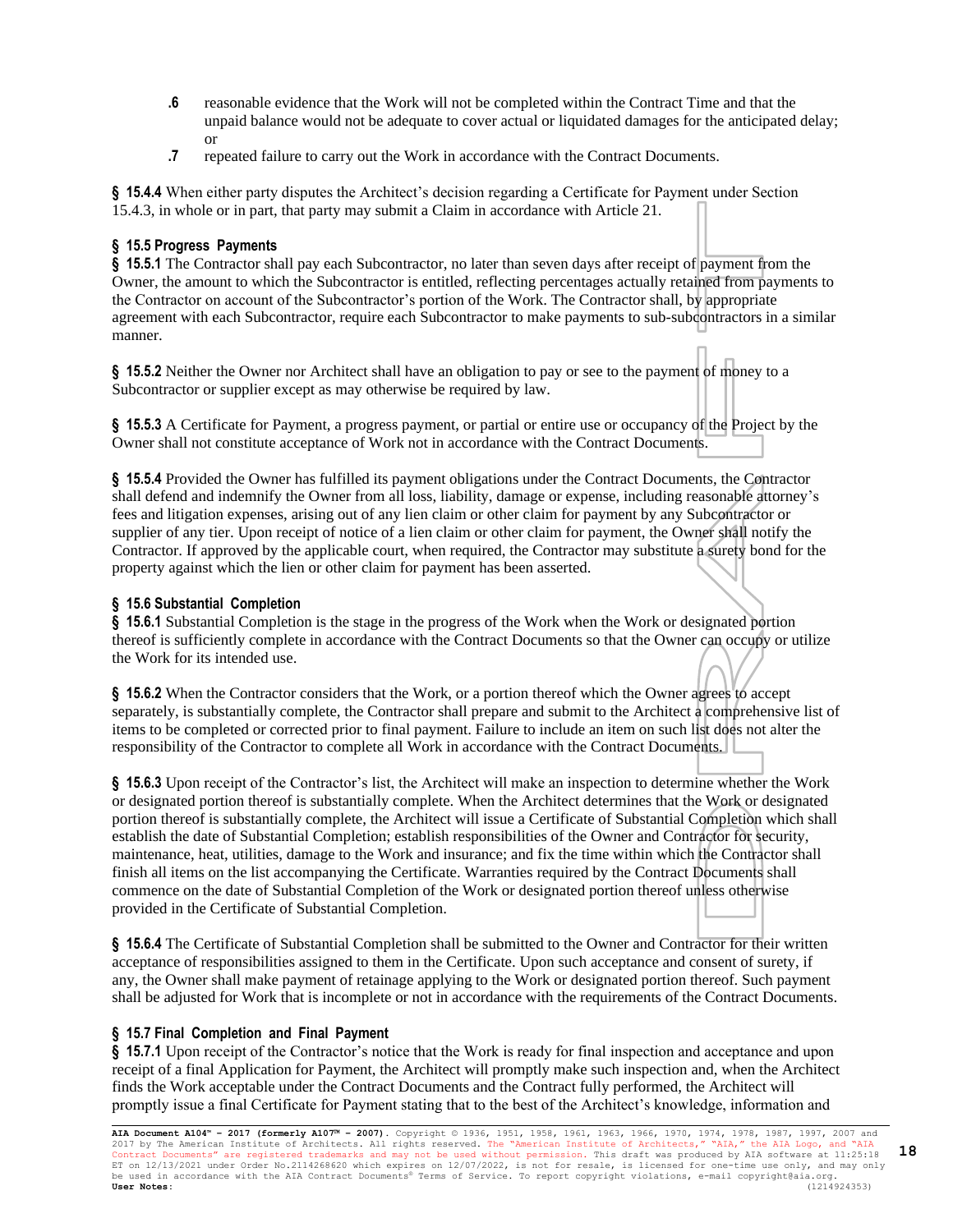- **.6** reasonable evidence that the Work will not be completed within the Contract Time and that the unpaid balance would not be adequate to cover actual or liquidated damages for the anticipated delay; or
- **.7** repeated failure to carry out the Work in accordance with the Contract Documents.

**§ 15.4.4** When either party disputes the Architect's decision regarding a Certificate for Payment under Section 15.4.3, in whole or in part, that party may submit a Claim in accordance with Article 21.

## **§ 15.5 Progress Payments**

**§ 15.5.1** The Contractor shall pay each Subcontractor, no later than seven days after receipt of payment from the Owner, the amount to which the Subcontractor is entitled, reflecting percentages actually retained from payments to the Contractor on account of the Subcontractor's portion of the Work. The Contractor shall, by appropriate agreement with each Subcontractor, require each Subcontractor to make payments to sub-subcontractors in a similar manner.

**§ 15.5.2** Neither the Owner nor Architect shall have an obligation to pay or see to the payment of money to a Subcontractor or supplier except as may otherwise be required by law.

**§ 15.5.3** A Certificate for Payment, a progress payment, or partial or entire use or occupancy of the Project by the Owner shall not constitute acceptance of Work not in accordance with the Contract Documents.

**§ 15.5.4** Provided the Owner has fulfilled its payment obligations under the Contract Documents, the Contractor shall defend and indemnify the Owner from all loss, liability, damage or expense, including reasonable attorney's fees and litigation expenses, arising out of any lien claim or other claim for payment by any Subcontractor or supplier of any tier. Upon receipt of notice of a lien claim or other claim for payment, the Owner shall notify the Contractor. If approved by the applicable court, when required, the Contractor may substitute a surety bond for the property against which the lien or other claim for payment has been asserted.

# **§ 15.6 Substantial Completion**

**§ 15.6.1** Substantial Completion is the stage in the progress of the Work when the Work or designated portion thereof is sufficiently complete in accordance with the Contract Documents so that the Owner can occupy or utilize the Work for its intended use.

**§ 15.6.2** When the Contractor considers that the Work, or a portion thereof which the Owner agrees to accept separately, is substantially complete, the Contractor shall prepare and submit to the Architect a comprehensive list of items to be completed or corrected prior to final payment. Failure to include an item on such list does not alter the responsibility of the Contractor to complete all Work in accordance with the Contract Documents.

**§ 15.6.3** Upon receipt of the Contractor's list, the Architect will make an inspection to determine whether the Work or designated portion thereof is substantially complete. When the Architect determines that the Work or designated portion thereof is substantially complete, the Architect will issue a Certificate of Substantial Completion which shall establish the date of Substantial Completion; establish responsibilities of the Owner and Contractor for security, maintenance, heat, utilities, damage to the Work and insurance; and fix the time within which the Contractor shall finish all items on the list accompanying the Certificate. Warranties required by the Contract Documents shall commence on the date of Substantial Completion of the Work or designated portion thereof unless otherwise provided in the Certificate of Substantial Completion.

**§ 15.6.4** The Certificate of Substantial Completion shall be submitted to the Owner and Contractor for their written acceptance of responsibilities assigned to them in the Certificate. Upon such acceptance and consent of surety, if any, the Owner shall make payment of retainage applying to the Work or designated portion thereof. Such payment shall be adjusted for Work that is incomplete or not in accordance with the requirements of the Contract Documents.

## **§ 15.7 Final Completion and Final Payment**

**§ 15.7.1** Upon receipt of the Contractor's notice that the Work is ready for final inspection and acceptance and upon receipt of a final Application for Payment, the Architect will promptly make such inspection and, when the Architect finds the Work acceptable under the Contract Documents and the Contract fully performed, the Architect will promptly issue a final Certificate for Payment stating that to the best of the Architect's knowledge, information and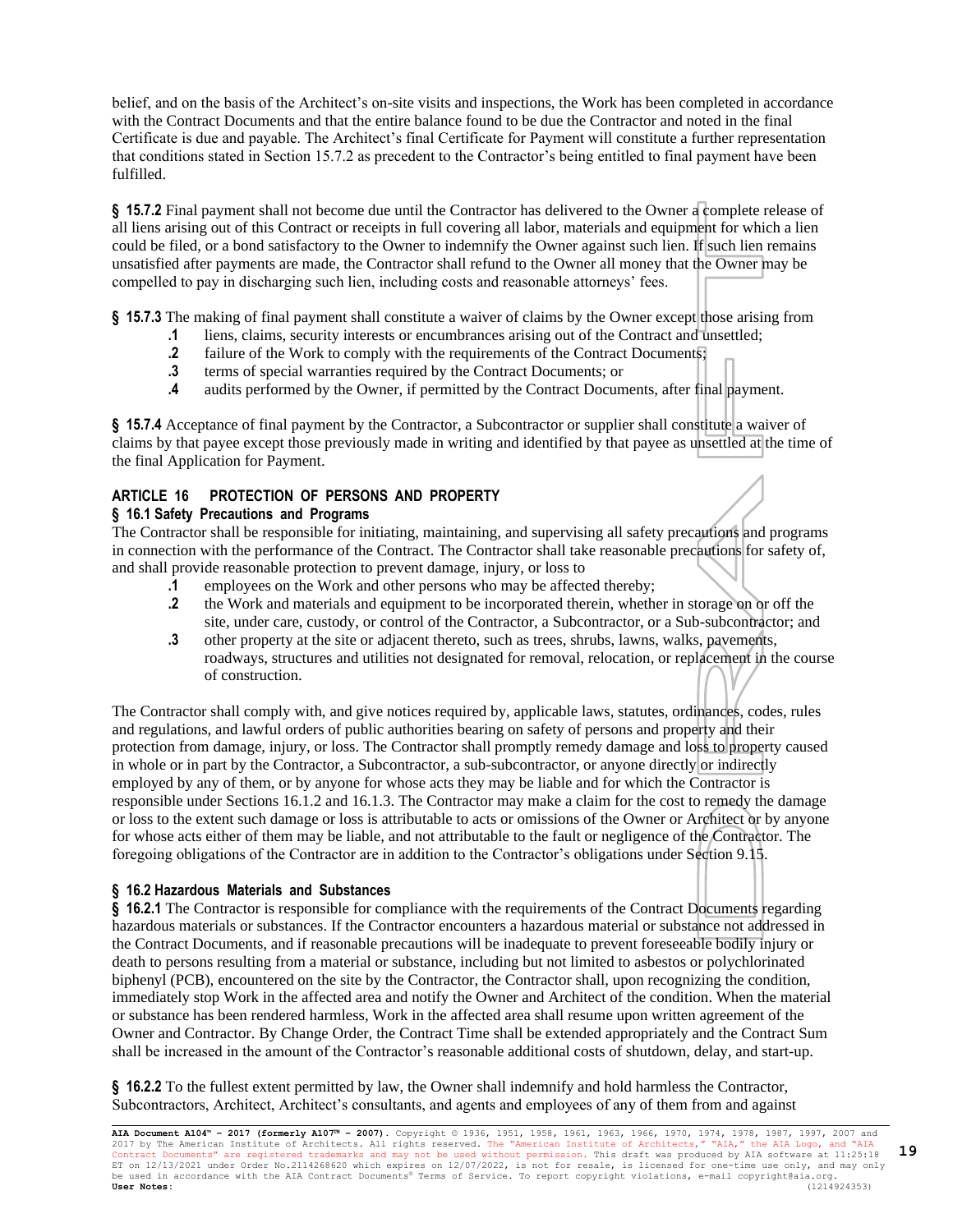belief, and on the basis of the Architect's on-site visits and inspections, the Work has been completed in accordance with the Contract Documents and that the entire balance found to be due the Contractor and noted in the final Certificate is due and payable. The Architect's final Certificate for Payment will constitute a further representation that conditions stated in Section 15.7.2 as precedent to the Contractor's being entitled to final payment have been fulfilled.

**§ 15.7.2** Final payment shall not become due until the Contractor has delivered to the Owner a complete release of all liens arising out of this Contract or receipts in full covering all labor, materials and equipment for which a lien could be filed, or a bond satisfactory to the Owner to indemnify the Owner against such lien. If such lien remains unsatisfied after payments are made, the Contractor shall refund to the Owner all money that the Owner may be compelled to pay in discharging such lien, including costs and reasonable attorneys' fees.

**§ 15.7.3** The making of final payment shall constitute a waiver of claims by the Owner except those arising from

- **.1** liens, claims, security interests or encumbrances arising out of the Contract and unsettled;
- **.2** failure of the Work to comply with the requirements of the Contract Documents;
- **.3** terms of special warranties required by the Contract Documents; or
- **.4** audits performed by the Owner, if permitted by the Contract Documents, after final payment.

**§ 15.7.4** Acceptance of final payment by the Contractor, a Subcontractor or supplier shall constitute a waiver of claims by that payee except those previously made in writing and identified by that payee as unsettled at the time of the final Application for Payment.

# **ARTICLE 16 PROTECTION OF PERSONS AND PROPERTY**

#### **§ 16.1 Safety Precautions and Programs**

The Contractor shall be responsible for initiating, maintaining, and supervising all safety precautions and programs in connection with the performance of the Contract. The Contractor shall take reasonable precautions for safety of, and shall provide reasonable protection to prevent damage, injury, or loss to

- **.1** employees on the Work and other persons who may be affected thereby;
- **.2** the Work and materials and equipment to be incorporated therein, whether in storage on or off the site, under care, custody, or control of the Contractor, a Subcontractor, or a Sub-subcontractor; and
- **.3** other property at the site or adjacent thereto, such as trees, shrubs, lawns, walks, pavements, roadways, structures and utilities not designated for removal, relocation, or replacement in the course of construction.

The Contractor shall comply with, and give notices required by, applicable laws, statutes, ordinances, codes, rules and regulations, and lawful orders of public authorities bearing on safety of persons and property and their protection from damage, injury, or loss. The Contractor shall promptly remedy damage and loss to property caused in whole or in part by the Contractor, a Subcontractor, a sub-subcontractor, or anyone directly or indirectly employed by any of them, or by anyone for whose acts they may be liable and for which the Contractor is responsible under Sections 16.1.2 and 16.1.3. The Contractor may make a claim for the cost to remedy the damage or loss to the extent such damage or loss is attributable to acts or omissions of the Owner or Architect or by anyone for whose acts either of them may be liable, and not attributable to the fault or negligence of the Contractor. The foregoing obligations of the Contractor are in addition to the Contractor's obligations under Section 9.15.

## **§ 16.2 Hazardous Materials and Substances**

**§ 16.2.1** The Contractor is responsible for compliance with the requirements of the Contract Documents regarding hazardous materials or substances. If the Contractor encounters a hazardous material or substance not addressed in the Contract Documents, and if reasonable precautions will be inadequate to prevent foreseeable bodily injury or death to persons resulting from a material or substance, including but not limited to asbestos or polychlorinated biphenyl (PCB), encountered on the site by the Contractor, the Contractor shall, upon recognizing the condition, immediately stop Work in the affected area and notify the Owner and Architect of the condition. When the material or substance has been rendered harmless, Work in the affected area shall resume upon written agreement of the Owner and Contractor. By Change Order, the Contract Time shall be extended appropriately and the Contract Sum shall be increased in the amount of the Contractor's reasonable additional costs of shutdown, delay, and start-up.

**§ 16.2.2** To the fullest extent permitted by law, the Owner shall indemnify and hold harmless the Contractor, Subcontractors, Architect, Architect's consultants, and agents and employees of any of them from and against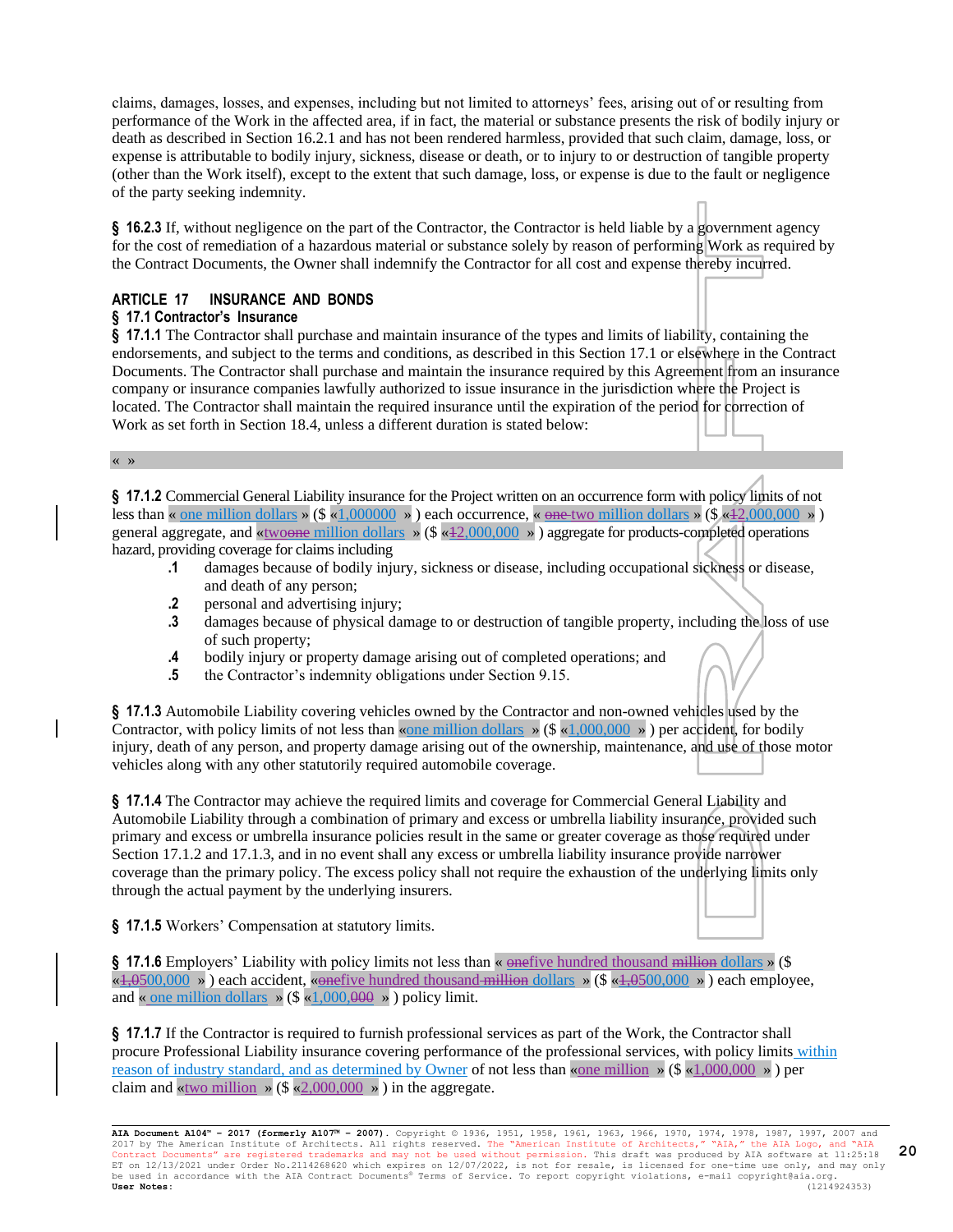claims, damages, losses, and expenses, including but not limited to attorneys' fees, arising out of or resulting from performance of the Work in the affected area, if in fact, the material or substance presents the risk of bodily injury or death as described in Section 16.2.1 and has not been rendered harmless, provided that such claim, damage, loss, or expense is attributable to bodily injury, sickness, disease or death, or to injury to or destruction of tangible property (other than the Work itself), except to the extent that such damage, loss, or expense is due to the fault or negligence of the party seeking indemnity.

**§ 16.2.3** If, without negligence on the part of the Contractor, the Contractor is held liable by a government agency for the cost of remediation of a hazardous material or substance solely by reason of performing Work as required by the Contract Documents, the Owner shall indemnify the Contractor for all cost and expense thereby incurred.

## **ARTICLE 17 INSURANCE AND BONDS**

#### **§ 17.1 Contractor's Insurance**

**§ 17.1.1** The Contractor shall purchase and maintain insurance of the types and limits of liability, containing the endorsements, and subject to the terms and conditions, as described in this Section 17.1 or elsewhere in the Contract Documents. The Contractor shall purchase and maintain the insurance required by this Agreement from an insurance company or insurance companies lawfully authorized to issue insurance in the jurisdiction where the Project is located. The Contractor shall maintain the required insurance until the expiration of the period for correction of Work as set forth in Section 18.4, unless a different duration is stated below:

« »

**§ 17.1.2** Commercial General Liability insurance for the Project written on an occurrence form with policy limits of not less than « one million dollars » ( $\frac{\sqrt{8} \times 1,000000}{8}$  ») each occurrence, « <del>one t</del>wo million dollars » ( $\frac{\sqrt{8} \times 1,000,000}{8}$  ») general aggregate, and «twoone million dollars » (\$ «12,000,000 » ) aggregate for products-completed operations hazard, providing coverage for claims including

- **.1** damages because of bodily injury, sickness or disease, including occupational sickness or disease, and death of any person;
- **2** personal and advertising injury:
- **.3** damages because of physical damage to or destruction of tangible property, including the loss of use of such property;
- **.4** bodily injury or property damage arising out of completed operations; and
- **.5** the Contractor's indemnity obligations under Section 9.15.

**§ 17.1.3** Automobile Liability covering vehicles owned by the Contractor and non-owned vehicles used by the Contractor, with policy limits of not less than <u>«one million dollars »</u> ( $\frac{\sqrt{8} \times 1,000,000 \times 1}{\sqrt{8}}$ ) per accident, for bodily injury, death of any person, and property damage arising out of the ownership, maintenance, and use of those motor vehicles along with any other statutorily required automobile coverage.

**§ 17.1.4** The Contractor may achieve the required limits and coverage for Commercial General Liability and Automobile Liability through a combination of primary and excess or umbrella liability insurance, provided such primary and excess or umbrella insurance policies result in the same or greater coverage as those required under Section 17.1.2 and 17.1.3, and in no event shall any excess or umbrella liability insurance provide narrower coverage than the primary policy. The excess policy shall not require the exhaustion of the underlying limits only through the actual payment by the underlying insurers.

**§ 17.1.5** Workers' Compensation at statutory limits.

§ **17.1.6** Employers' Liability with policy limits not less than « one five hundred thousand million dollars » (\$)  $\leftarrow +0.500,000 \rightarrow$  ) each accident, «onefive hundred thousand million dollars  $\rightarrow$  (\$  $\leftarrow +0.500,000 \rightarrow$  ) each employee, and « one million dollars » ( $\sin 1000,000$  ») policy limit.

**§ 17.1.7** If the Contractor is required to furnish professional services as part of the Work, the Contractor shall procure Professional Liability insurance covering performance of the professional services, with policy limits within reason of industry standard, and as determined by Owner of not less than «one million » (\$ «1,000,000 » ) per claim and «two million » ( $\sqrt{$\infty,000,000}$  ») in the aggregate.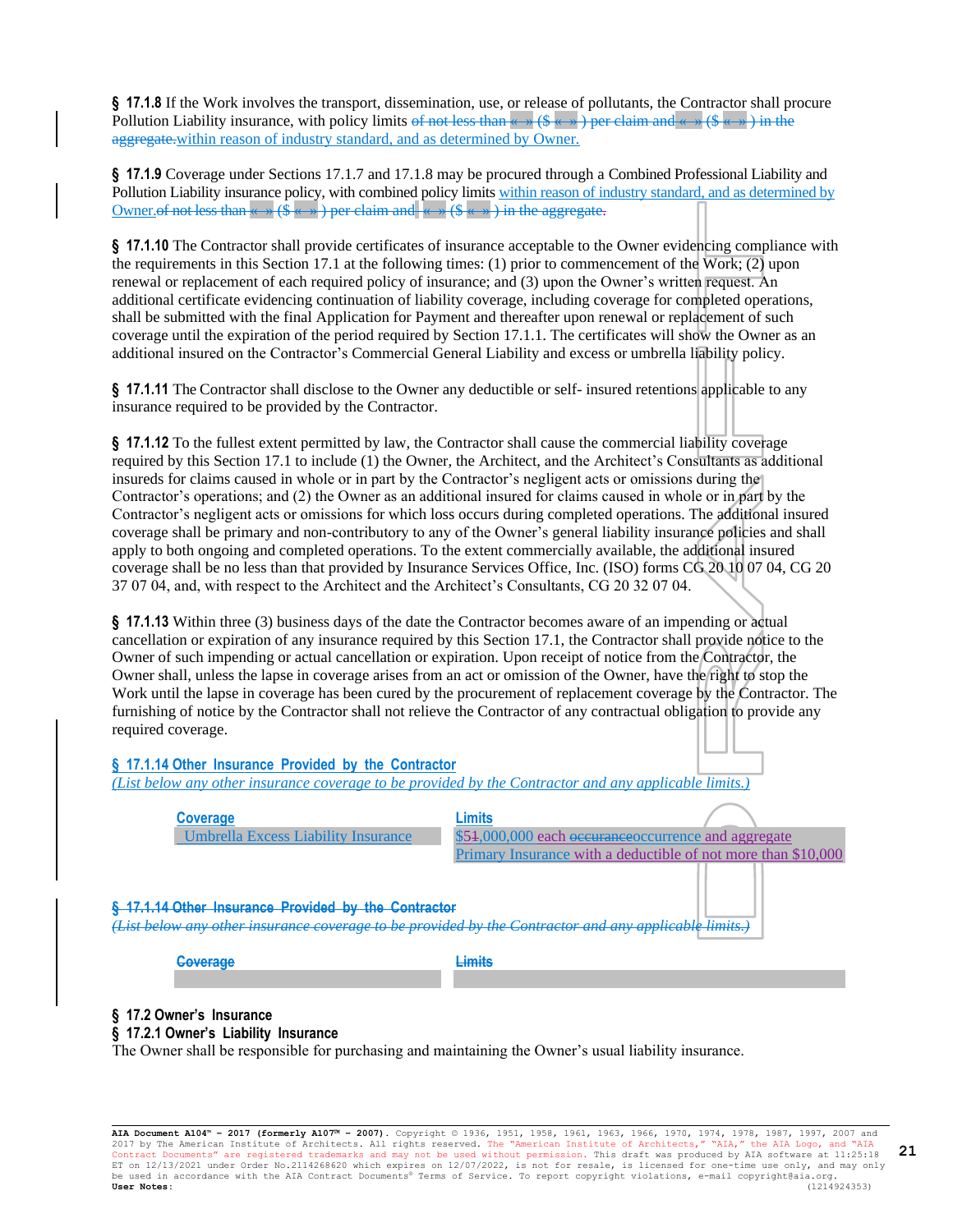**§ 17.1.8** If the Work involves the transport, dissemination, use, or release of pollutants, the Contractor shall procure Pollution Liability insurance, with policy limits of not less than «  $\ast$  (\$  $\ast$  ») per claim and « » (\$  $\ast$  ») in the aggregate.within reason of industry standard, and as determined by Owner.

**§ 17.1.9** Coverage under Sections 17.1.7 and 17.1.8 may be procured through a Combined Professional Liability and Pollution Liability insurance policy, with combined policy limits within reason of industry standard, and as determined by Owner. of not less than  $\leftarrow \rightarrow (\$ \leftarrow \rightarrow)$  per claim and  $\leftarrow \rightarrow (\$ \leftarrow \rightarrow)$  in the aggregate.

**§ 17.1.10** The Contractor shall provide certificates of insurance acceptable to the Owner evidencing compliance with the requirements in this Section 17.1 at the following times: (1) prior to commencement of the Work; (2) upon renewal or replacement of each required policy of insurance; and (3) upon the Owner's written request. An additional certificate evidencing continuation of liability coverage, including coverage for completed operations, shall be submitted with the final Application for Payment and thereafter upon renewal or replacement of such coverage until the expiration of the period required by Section 17.1.1. The certificates will show the Owner as an additional insured on the Contractor's Commercial General Liability and excess or umbrella liability policy.

**§ 17.1.11** The Contractor shall disclose to the Owner any deductible or self- insured retentions applicable to any insurance required to be provided by the Contractor.

**§ 17.1.12** To the fullest extent permitted by law, the Contractor shall cause the commercial liability coverage required by this Section 17.1 to include (1) the Owner, the Architect, and the Architect's Consultants as additional insureds for claims caused in whole or in part by the Contractor's negligent acts or omissions during the Contractor's operations; and (2) the Owner as an additional insured for claims caused in whole or in part by the Contractor's negligent acts or omissions for which loss occurs during completed operations. The additional insured coverage shall be primary and non-contributory to any of the Owner's general liability insurance policies and shall apply to both ongoing and completed operations. To the extent commercially available, the additional insured coverage shall be no less than that provided by Insurance Services Office, Inc. (ISO) forms CG 20 10 07 04, CG 20 37 07 04, and, with respect to the Architect and the Architect's Consultants, CG 20 32 07 04.

**§ 17.1.13** Within three (3) business days of the date the Contractor becomes aware of an impending or actual cancellation or expiration of any insurance required by this Section 17.1, the Contractor shall provide notice to the Owner of such impending or actual cancellation or expiration. Upon receipt of notice from the Contractor, the Owner shall, unless the lapse in coverage arises from an act or omission of the Owner, have the right to stop the Work until the lapse in coverage has been cured by the procurement of replacement coverage by the Contractor. The furnishing of notice by the Contractor shall not relieve the Contractor of any contractual obligation to provide any required coverage.



## **§ 17.2 Owner's Insurance**

**§ 17.2.1 Owner's Liability Insurance**

The Owner shall be responsible for purchasing and maintaining the Owner's usual liability insurance.

**AIA Document A104™ – 2017 (formerly A107™ – 2007).** Copyright © 1936, 1951, 1958, 1961, 1963, 1966, 1970, 1974, 1978, 1987, 1997, 2007 and 2017 by The American Institute of Architects. All rights reserved. The "American Institute of Architects," "AIA," the AIA Logo, and "AIA<br>Contract Documents" are registered trademarks and may not be used without permission. Contract Documents" are registered trademarks and may not be used without permission. This draft was produced by AIA software at 11:25:18<br>ET on 12/13/2021 under Order No.2114268620 which expires on 12/07/2022, is not for r be used in accordance with the AIA Contract Documents® Terms of Service. To report copyright violations, e-mail copyright@aia.org.<br>User Notes: (1214924353) **User Notes:** (1214924353) **21**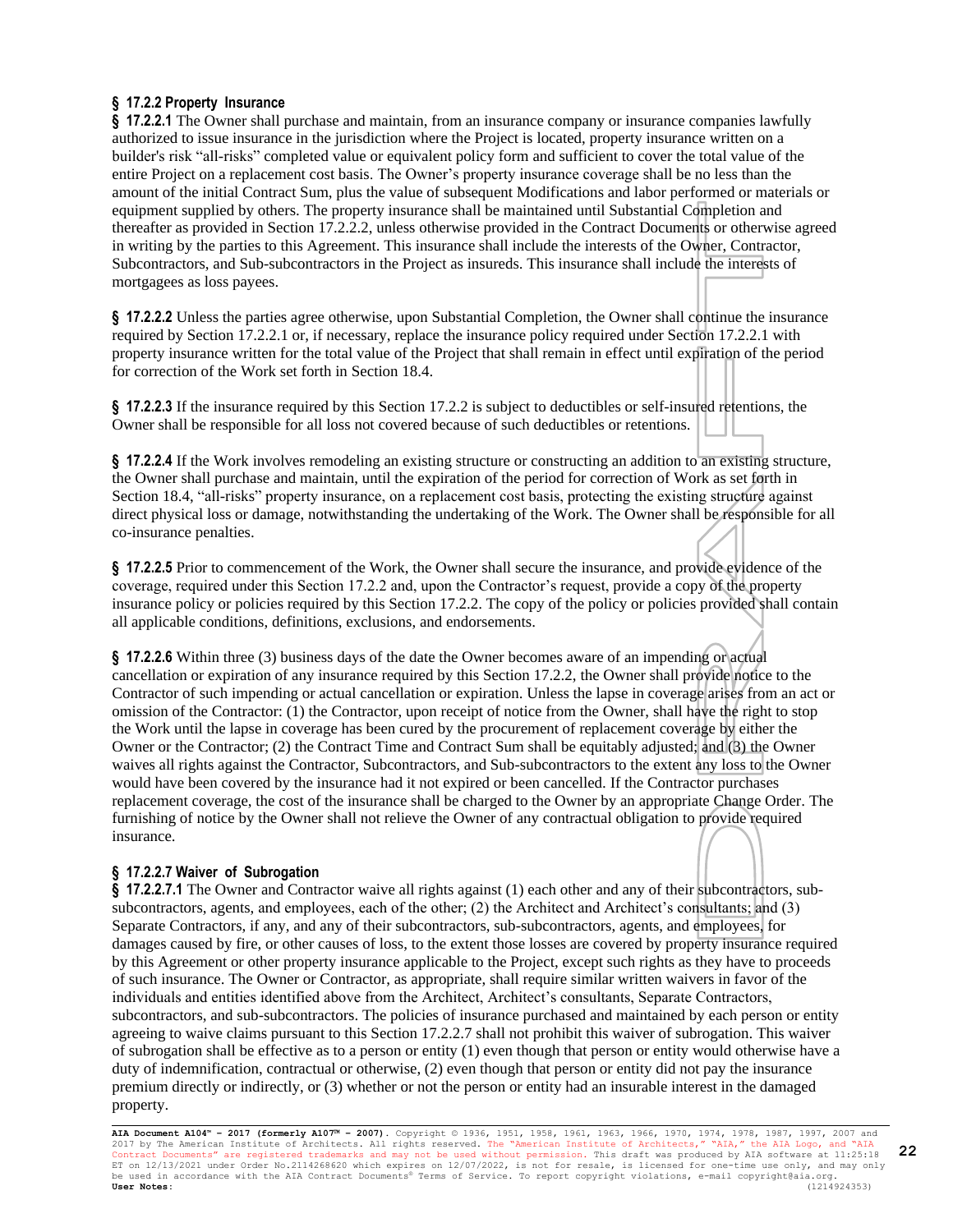# **§ 17.2.2 Property Insurance**

**§ 17.2.2.1** The Owner shall purchase and maintain, from an insurance company or insurance companies lawfully authorized to issue insurance in the jurisdiction where the Project is located, property insurance written on a builder's risk "all-risks" completed value or equivalent policy form and sufficient to cover the total value of the entire Project on a replacement cost basis. The Owner's property insurance coverage shall be no less than the amount of the initial Contract Sum, plus the value of subsequent Modifications and labor performed or materials or equipment supplied by others. The property insurance shall be maintained until Substantial Completion and thereafter as provided in Section 17.2.2.2, unless otherwise provided in the Contract Documents or otherwise agreed in writing by the parties to this Agreement. This insurance shall include the interests of the Owner, Contractor, Subcontractors, and Sub-subcontractors in the Project as insureds. This insurance shall include the interests of mortgagees as loss payees.

**§ 17.2.2.2** Unless the parties agree otherwise, upon Substantial Completion, the Owner shall continue the insurance required by Section 17.2.2.1 or, if necessary, replace the insurance policy required under Section 17.2.2.1 with property insurance written for the total value of the Project that shall remain in effect until expiration of the period for correction of the Work set forth in Section 18.4.

**§ 17.2.2.3** If the insurance required by this Section 17.2.2 is subject to deductibles or self-insured retentions, the Owner shall be responsible for all loss not covered because of such deductibles or retentions.

**§ 17.2.2.4** If the Work involves remodeling an existing structure or constructing an addition to an existing structure, the Owner shall purchase and maintain, until the expiration of the period for correction of Work as set forth in Section 18.4, "all-risks" property insurance, on a replacement cost basis, protecting the existing structure against direct physical loss or damage, notwithstanding the undertaking of the Work. The Owner shall be responsible for all co-insurance penalties.

**§ 17.2.2.5** Prior to commencement of the Work, the Owner shall secure the insurance, and provide evidence of the coverage, required under this Section 17.2.2 and, upon the Contractor's request, provide a copy of the property insurance policy or policies required by this Section 17.2.2. The copy of the policy or policies provided shall contain all applicable conditions, definitions, exclusions, and endorsements.

**§ 17.2.2.6** Within three (3) business days of the date the Owner becomes aware of an impending or actual cancellation or expiration of any insurance required by this Section 17.2.2, the Owner shall provide notice to the Contractor of such impending or actual cancellation or expiration. Unless the lapse in coverage arises from an act or omission of the Contractor: (1) the Contractor, upon receipt of notice from the Owner, shall have the right to stop the Work until the lapse in coverage has been cured by the procurement of replacement coverage by either the Owner or the Contractor; (2) the Contract Time and Contract Sum shall be equitably adjusted; and (3) the Owner waives all rights against the Contractor, Subcontractors, and Sub-subcontractors to the extent any loss to the Owner would have been covered by the insurance had it not expired or been cancelled. If the Contractor purchases replacement coverage, the cost of the insurance shall be charged to the Owner by an appropriate Change Order. The furnishing of notice by the Owner shall not relieve the Owner of any contractual obligation to provide required insurance.

# **§ 17.2.2.7 Waiver of Subrogation**

**§ 17.2.2.7.1** The Owner and Contractor waive all rights against (1) each other and any of their subcontractors, subsubcontractors, agents, and employees, each of the other; (2) the Architect and Architect's consultants; and (3) Separate Contractors, if any, and any of their subcontractors, sub-subcontractors, agents, and employees, for damages caused by fire, or other causes of loss, to the extent those losses are covered by property insurance required by this Agreement or other property insurance applicable to the Project, except such rights as they have to proceeds of such insurance. The Owner or Contractor, as appropriate, shall require similar written waivers in favor of the individuals and entities identified above from the Architect, Architect's consultants, Separate Contractors, subcontractors, and sub-subcontractors. The policies of insurance purchased and maintained by each person or entity agreeing to waive claims pursuant to this Section 17.2.2.7 shall not prohibit this waiver of subrogation. This waiver of subrogation shall be effective as to a person or entity (1) even though that person or entity would otherwise have a duty of indemnification, contractual or otherwise, (2) even though that person or entity did not pay the insurance premium directly or indirectly, or (3) whether or not the person or entity had an insurable interest in the damaged property.

**AIA Document A104™ – 2017 (formerly A107™ – 2007).** Copyright © 1936, 1951, 1958, 1961, 1963, 1966, 1970, 1974, 1978, 1987, 1997, 2007 and 2017 by The American Institute of Architects. All rights reserved. The "American Institute of Architects," "AIA," the AIA Logo, and "AIA<br>Contract Documents" are registered trademarks and may not be used without permission. ET on 12/13/2021 under Order No.2114268620 which expires on 12/07/2022, is not for resale, is licensed for one-time use only, and may only<br>be used in accordance with the AIA Contract Documents® Terms of Service. To report **User Notes:** (1214924353)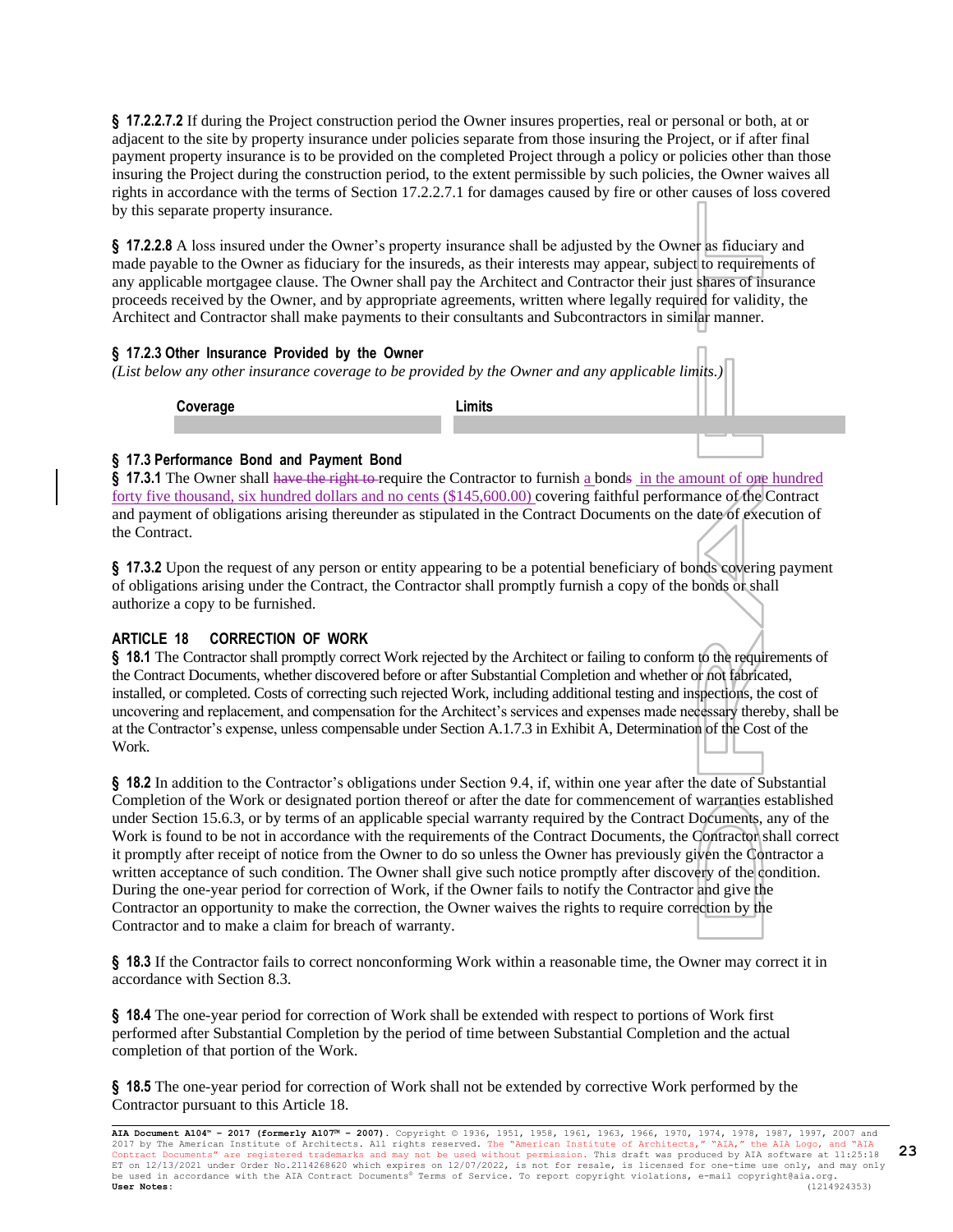**§ 17.2.2.7.2** If during the Project construction period the Owner insures properties, real or personal or both, at or adjacent to the site by property insurance under policies separate from those insuring the Project, or if after final payment property insurance is to be provided on the completed Project through a policy or policies other than those insuring the Project during the construction period, to the extent permissible by such policies, the Owner waives all rights in accordance with the terms of Section 17.2.2.7.1 for damages caused by fire or other causes of loss covered by this separate property insurance.

**§ 17.2.2.8** A loss insured under the Owner's property insurance shall be adjusted by the Owner as fiduciary and made payable to the Owner as fiduciary for the insureds, as their interests may appear, subject to requirements of any applicable mortgagee clause. The Owner shall pay the Architect and Contractor their just shares of insurance proceeds received by the Owner, and by appropriate agreements, written where legally required for validity, the Architect and Contractor shall make payments to their consultants and Subcontractors in similar manner.

# **§ 17.2.3 Other Insurance Provided by the Owner**

*(List below any other insurance coverage to be provided by the Owner and any applicable limits.)*

**Coverage Limits**

## **§ 17.3 Performance Bond and Payment Bond**

§ **17.3.1** The Owner shall have the right to require the Contractor to furnish a bonds in the amount of one hundred forty five thousand, six hundred dollars and no cents (\$145,600.00) covering faithful performance of the Contract and payment of obligations arising thereunder as stipulated in the Contract Documents on the date of execution of the Contract.

**§ 17.3.2** Upon the request of any person or entity appearing to be a potential beneficiary of bonds covering payment of obligations arising under the Contract, the Contractor shall promptly furnish a copy of the bonds or shall authorize a copy to be furnished.

# **ARTICLE 18 CORRECTION OF WORK**

**§ 18.1** The Contractor shall promptly correct Work rejected by the Architect or failing to conform to the requirements of the Contract Documents, whether discovered before or after Substantial Completion and whether or not fabricated, installed, or completed. Costs of correcting such rejected Work, including additional testing and inspections, the cost of uncovering and replacement, and compensation for the Architect's services and expenses made necessary thereby, shall be at the Contractor's expense, unless compensable under Section A.1.7.3 in Exhibit A, Determination of the Cost of the Work.

**§ 18.2** In addition to the Contractor's obligations under Section 9.4, if, within one year after the date of Substantial Completion of the Work or designated portion thereof or after the date for commencement of warranties established under Section 15.6.3, or by terms of an applicable special warranty required by the Contract Documents, any of the Work is found to be not in accordance with the requirements of the Contract Documents, the Contractor shall correct it promptly after receipt of notice from the Owner to do so unless the Owner has previously given the Contractor a written acceptance of such condition. The Owner shall give such notice promptly after discovery of the condition. During the one-year period for correction of Work, if the Owner fails to notify the Contractor and give the Contractor an opportunity to make the correction, the Owner waives the rights to require correction by the Contractor and to make a claim for breach of warranty.

**§ 18.3** If the Contractor fails to correct nonconforming Work within a reasonable time, the Owner may correct it in accordance with Section 8.3.

**§ 18.4** The one-year period for correction of Work shall be extended with respect to portions of Work first performed after Substantial Completion by the period of time between Substantial Completion and the actual completion of that portion of the Work.

**§ 18.5** The one-year period for correction of Work shall not be extended by corrective Work performed by the Contractor pursuant to this Article 18.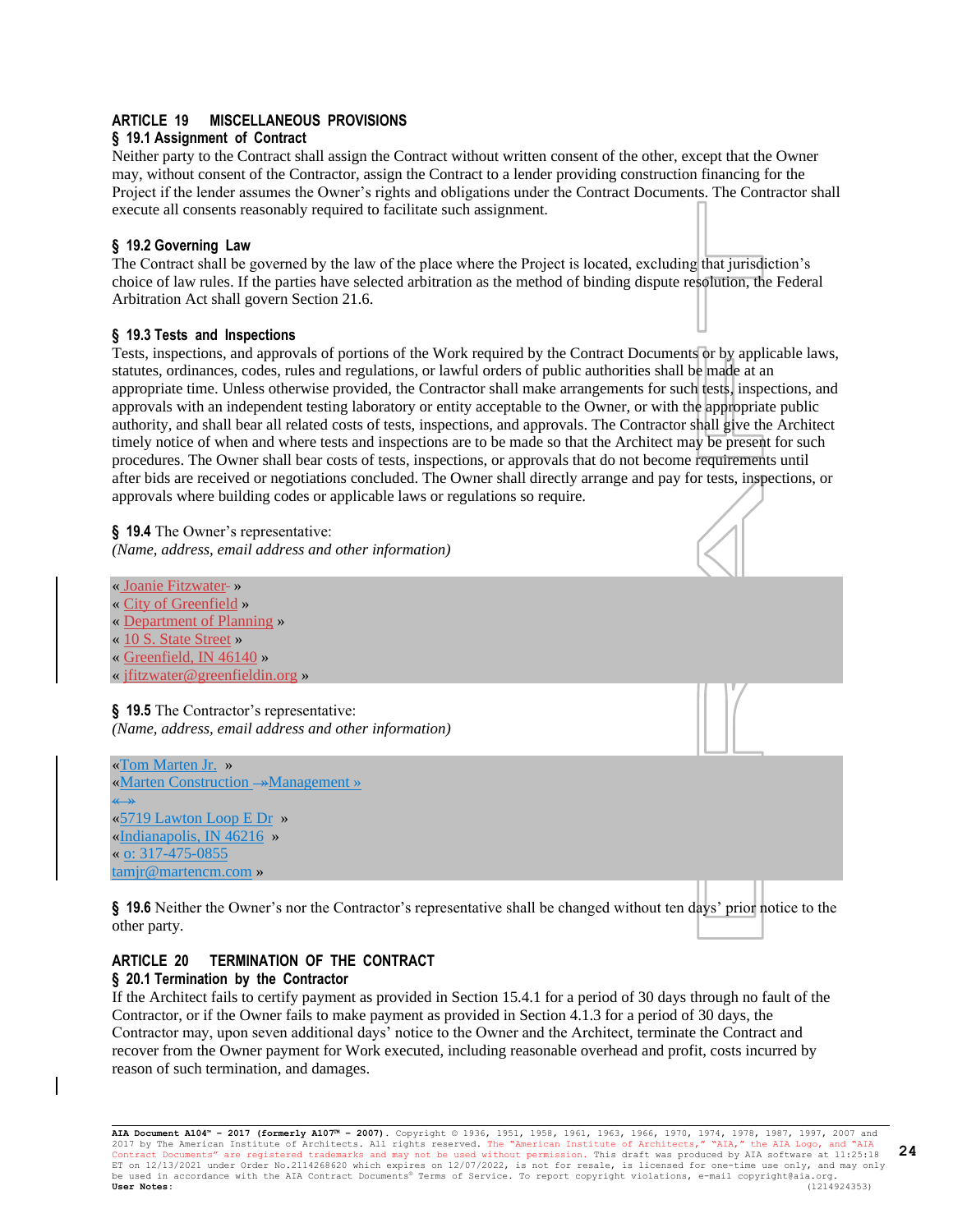## **ARTICLE 19 MISCELLANEOUS PROVISIONS**

#### **§ 19.1 Assignment of Contract**

Neither party to the Contract shall assign the Contract without written consent of the other, except that the Owner may, without consent of the Contractor, assign the Contract to a lender providing construction financing for the Project if the lender assumes the Owner's rights and obligations under the Contract Documents. The Contractor shall execute all consents reasonably required to facilitate such assignment.

## **§ 19.2 Governing Law**

The Contract shall be governed by the law of the place where the Project is located, excluding that jurisdiction's choice of law rules. If the parties have selected arbitration as the method of binding dispute resolution, the Federal Arbitration Act shall govern Section 21.6.

## **§ 19.3 Tests and Inspections**

Tests, inspections, and approvals of portions of the Work required by the Contract Documents or by applicable laws, statutes, ordinances, codes, rules and regulations, or lawful orders of public authorities shall be made at an appropriate time. Unless otherwise provided, the Contractor shall make arrangements for such tests, inspections, and approvals with an independent testing laboratory or entity acceptable to the Owner, or with the appropriate public authority, and shall bear all related costs of tests, inspections, and approvals. The Contractor shall give the Architect timely notice of when and where tests and inspections are to be made so that the Architect may be present for such procedures. The Owner shall bear costs of tests, inspections, or approvals that do not become requirements until after bids are received or negotiations concluded. The Owner shall directly arrange and pay for tests, inspections, or approvals where building codes or applicable laws or regulations so require.

**§ 19.4** The Owner's representative: *(Name, address, email address and other information)*

- « Joanie Fitzwater » « City of Greenfield » « Department of Planning » « 10 S. State Street » « Greenfield, IN 46140 »
- « jfitzwater@greenfieldin.org »

**§ 19.5** The Contractor's representative: *(Name, address, email address and other information)*

«Tom Marten Jr. » «Marten Construction – »Management » « » «5719 Lawton Loop E Dr » «Indianapolis, IN 46216 »  $\frac{\text{o: }317 - 475 - 0855}{\text{o: }317 - 475 - 0855}$ tamjr@martencm.com »

**§ 19.6** Neither the Owner's nor the Contractor's representative shall be changed without ten days' prior notice to the other party.

# **ARTICLE 20 TERMINATION OF THE CONTRACT**

## **§ 20.1 Termination by the Contractor**

If the Architect fails to certify payment as provided in Section 15.4.1 for a period of 30 days through no fault of the Contractor, or if the Owner fails to make payment as provided in Section 4.1.3 for a period of 30 days, the Contractor may, upon seven additional days' notice to the Owner and the Architect, terminate the Contract and recover from the Owner payment for Work executed, including reasonable overhead and profit, costs incurred by reason of such termination, and damages.

**AIA Document A104™ – 2017 (formerly A107™ – 2007).** Copyright © 1936, 1951, 1958, 1961, 1963, 1966, 1970, 1974, 1978, 1987, 1997, 2007 and 2017 by The American Institute of Architects. All rights reserved. The "American Institute of Architects," "AIA," the AIA Logo, and "AIA<br>Contract Documents" are registered trademarks and may not be used without permission. Contract Documents" are registered trademarks and may not be used without permission. This draft was produced by AIA software at 11:25:18<br>ET on 12/13/2021 under Order No.2114268620 which expires on 12/07/2022, is not for r be used in accordance with the AIA Contract Documents® Terms of Service. To report copyright violations, e-mail copyright@aia.org.<br> **User Notes:** (1214924353) **User Notes:** (1214924353) **24**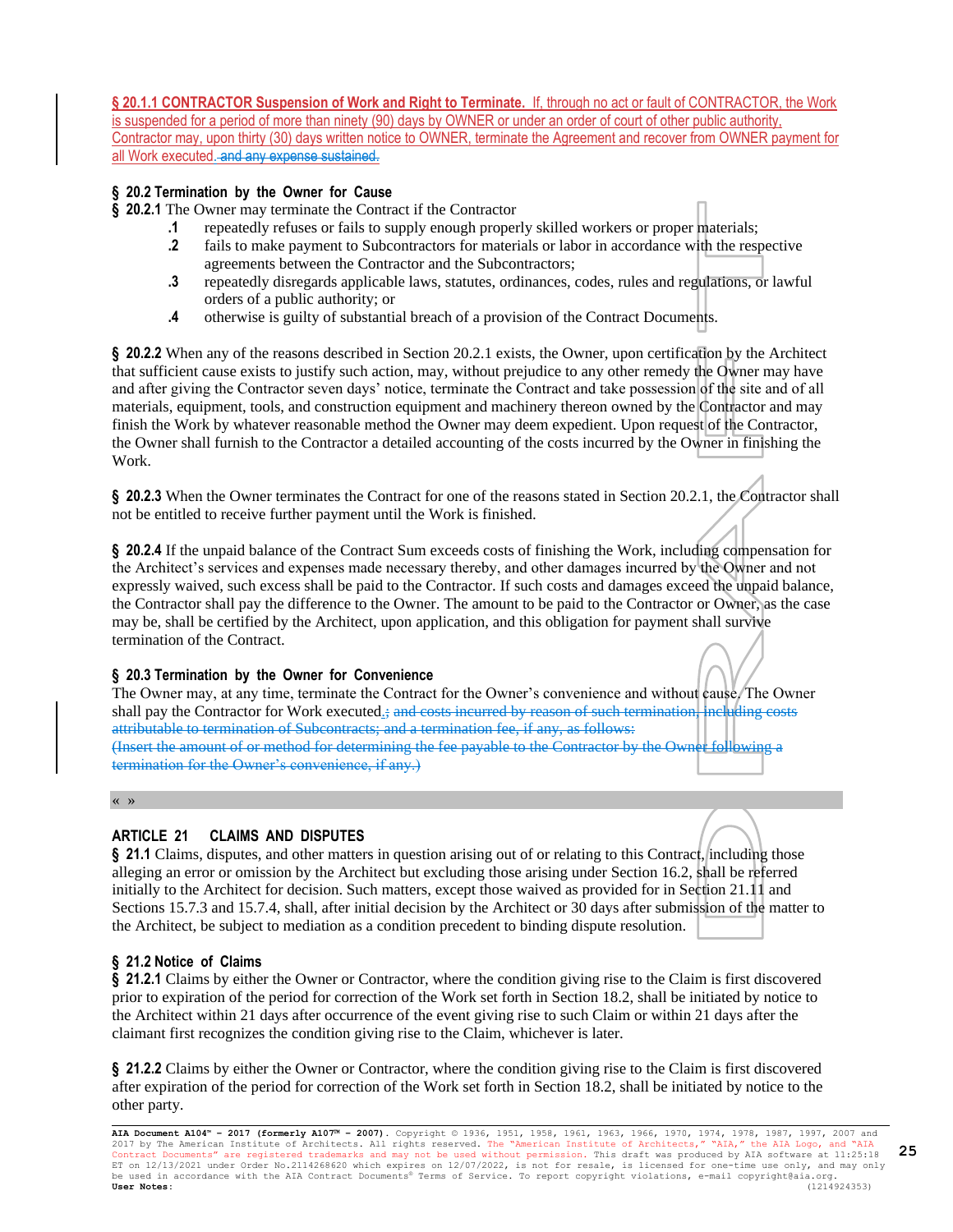**§ 20.1.1 CONTRACTOR Suspension of Work and Right to Terminate.** If, through no act or fault of CONTRACTOR, the Work is suspended for a period of more than ninety (90) days by OWNER or under an order of court of other public authority, Contractor may, upon thirty (30) days written notice to OWNER, terminate the Agreement and recover from OWNER payment for all Work executed. and any expense sustained.

## **§ 20.2 Termination by the Owner for Cause**

**§ 20.2.1** The Owner may terminate the Contract if the Contractor

- **.1** repeatedly refuses or fails to supply enough properly skilled workers or proper materials;
- **.2** fails to make payment to Subcontractors for materials or labor in accordance with the respective agreements between the Contractor and the Subcontractors;
- **.3** repeatedly disregards applicable laws, statutes, ordinances, codes, rules and regulations, or lawful orders of a public authority; or
- **.4** otherwise is guilty of substantial breach of a provision of the Contract Documents.

**§ 20.2.2** When any of the reasons described in Section 20.2.1 exists, the Owner, upon certification by the Architect that sufficient cause exists to justify such action, may, without prejudice to any other remedy the Owner may have and after giving the Contractor seven days' notice, terminate the Contract and take possession of the site and of all materials, equipment, tools, and construction equipment and machinery thereon owned by the Contractor and may finish the Work by whatever reasonable method the Owner may deem expedient. Upon request of the Contractor, the Owner shall furnish to the Contractor a detailed accounting of the costs incurred by the Owner in finishing the Work.

**§ 20.2.3** When the Owner terminates the Contract for one of the reasons stated in Section 20.2.1, the Contractor shall not be entitled to receive further payment until the Work is finished.

**§ 20.2.4** If the unpaid balance of the Contract Sum exceeds costs of finishing the Work, including compensation for the Architect's services and expenses made necessary thereby, and other damages incurred by the Owner and not expressly waived, such excess shall be paid to the Contractor. If such costs and damages exceed the unpaid balance, the Contractor shall pay the difference to the Owner. The amount to be paid to the Contractor or Owner, as the case may be, shall be certified by the Architect, upon application, and this obligation for payment shall survive termination of the Contract.

## **§ 20.3 Termination by the Owner for Convenience**

The Owner may, at any time, terminate the Contract for the Owner's convenience and without cause. The Owner shall pay the Contractor for Work executed.; and costs incurred by reason of such termination, including costs attributable to termination of Subcontracts; and a termination fee, if any, as follows: (Insert the amount of or method for determining the fee payable to the Contractor by the Owner following a termination for the Owner's convenience, if any.)

#### « »

## **ARTICLE 21 CLAIMS AND DISPUTES**

**§ 21.1** Claims, disputes, and other matters in question arising out of or relating to this Contract, including those alleging an error or omission by the Architect but excluding those arising under Section 16.2, shall be referred initially to the Architect for decision. Such matters, except those waived as provided for in Section 21.11 and Sections 15.7.3 and 15.7.4, shall, after initial decision by the Architect or 30 days after submission of the matter to the Architect, be subject to mediation as a condition precedent to binding dispute resolution.

## **§ 21.2 Notice of Claims**

**§ 21.2.1** Claims by either the Owner or Contractor, where the condition giving rise to the Claim is first discovered prior to expiration of the period for correction of the Work set forth in Section 18.2, shall be initiated by notice to the Architect within 21 days after occurrence of the event giving rise to such Claim or within 21 days after the claimant first recognizes the condition giving rise to the Claim, whichever is later.

**§ 21.2.2** Claims by either the Owner or Contractor, where the condition giving rise to the Claim is first discovered after expiration of the period for correction of the Work set forth in Section 18.2, shall be initiated by notice to the other party.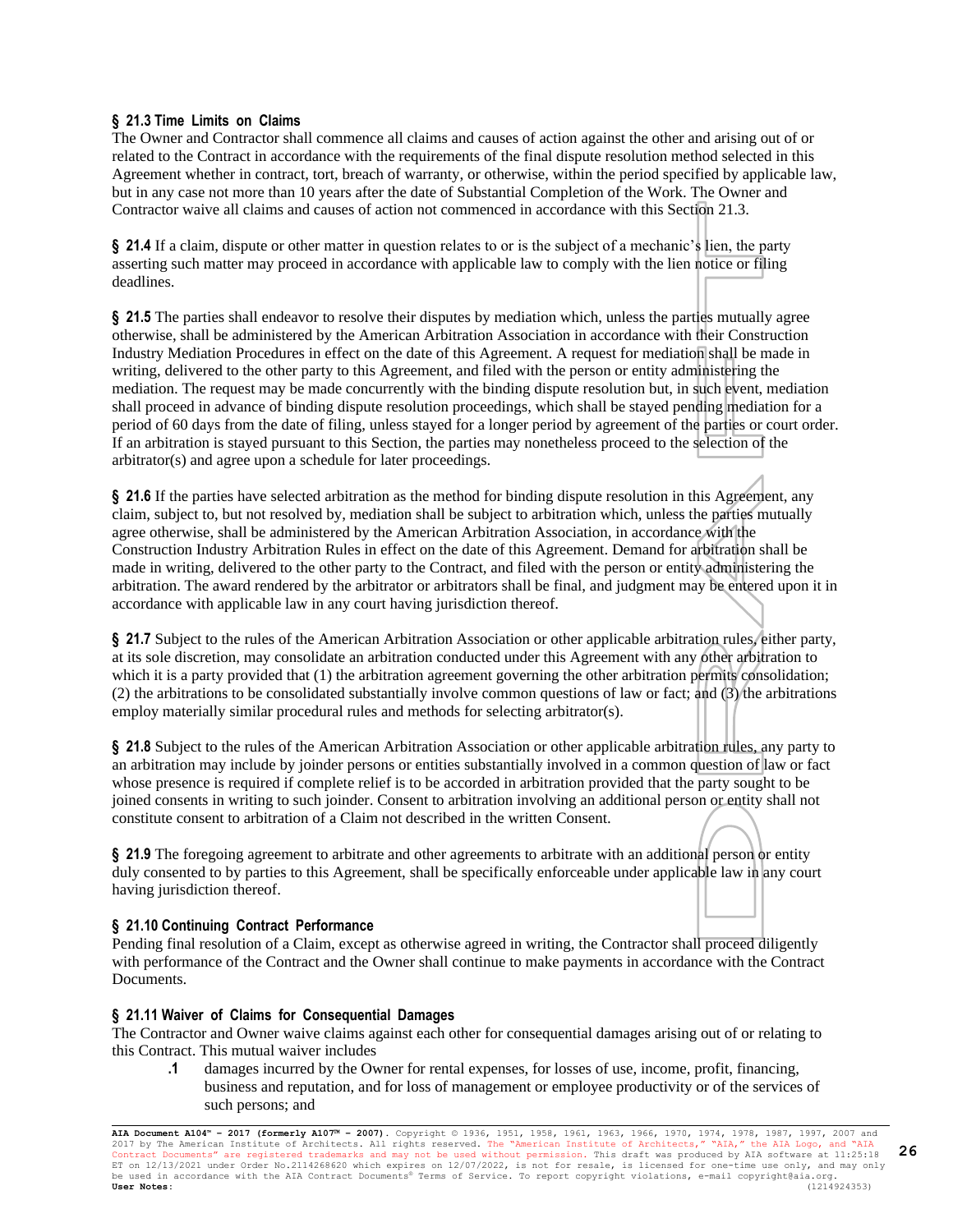## **§ 21.3 Time Limits on Claims**

The Owner and Contractor shall commence all claims and causes of action against the other and arising out of or related to the Contract in accordance with the requirements of the final dispute resolution method selected in this Agreement whether in contract, tort, breach of warranty, or otherwise, within the period specified by applicable law, but in any case not more than 10 years after the date of Substantial Completion of the Work. The Owner and Contractor waive all claims and causes of action not commenced in accordance with this Section 21.3.

**§ 21.4** If a claim, dispute or other matter in question relates to or is the subject of a mechanic's lien, the party asserting such matter may proceed in accordance with applicable law to comply with the lien notice or filing deadlines.

**§ 21.5** The parties shall endeavor to resolve their disputes by mediation which, unless the parties mutually agree otherwise, shall be administered by the American Arbitration Association in accordance with their Construction Industry Mediation Procedures in effect on the date of this Agreement. A request for mediation shall be made in writing, delivered to the other party to this Agreement, and filed with the person or entity administering the mediation. The request may be made concurrently with the binding dispute resolution but, in such event, mediation shall proceed in advance of binding dispute resolution proceedings, which shall be stayed pending mediation for a period of 60 days from the date of filing, unless stayed for a longer period by agreement of the parties or court order. If an arbitration is stayed pursuant to this Section, the parties may nonetheless proceed to the selection of the arbitrator(s) and agree upon a schedule for later proceedings.

**§ 21.6** If the parties have selected arbitration as the method for binding dispute resolution in this Agreement, any claim, subject to, but not resolved by, mediation shall be subject to arbitration which, unless the parties mutually agree otherwise, shall be administered by the American Arbitration Association, in accordance with the Construction Industry Arbitration Rules in effect on the date of this Agreement. Demand for arbitration shall be made in writing, delivered to the other party to the Contract, and filed with the person or entity administering the arbitration. The award rendered by the arbitrator or arbitrators shall be final, and judgment may be entered upon it in accordance with applicable law in any court having jurisdiction thereof.

**§ 21.7** Subject to the rules of the American Arbitration Association or other applicable arbitration rules, either party, at its sole discretion, may consolidate an arbitration conducted under this Agreement with any other arbitration to which it is a party provided that (1) the arbitration agreement governing the other arbitration permits consolidation; (2) the arbitrations to be consolidated substantially involve common questions of law or fact; and (3) the arbitrations employ materially similar procedural rules and methods for selecting arbitrator(s).

**§ 21.8** Subject to the rules of the American Arbitration Association or other applicable arbitration rules, any party to an arbitration may include by joinder persons or entities substantially involved in a common question of law or fact whose presence is required if complete relief is to be accorded in arbitration provided that the party sought to be joined consents in writing to such joinder. Consent to arbitration involving an additional person or entity shall not constitute consent to arbitration of a Claim not described in the written Consent.

**§ 21.9** The foregoing agreement to arbitrate and other agreements to arbitrate with an additional person or entity duly consented to by parties to this Agreement, shall be specifically enforceable under applicable law in any court having jurisdiction thereof.

## **§ 21.10 Continuing Contract Performance**

Pending final resolution of a Claim, except as otherwise agreed in writing, the Contractor shall proceed diligently with performance of the Contract and the Owner shall continue to make payments in accordance with the Contract Documents.

## **§ 21.11 Waiver of Claims for Consequential Damages**

The Contractor and Owner waive claims against each other for consequential damages arising out of or relating to this Contract. This mutual waiver includes

**.1** damages incurred by the Owner for rental expenses, for losses of use, income, profit, financing, business and reputation, and for loss of management or employee productivity or of the services of such persons; and